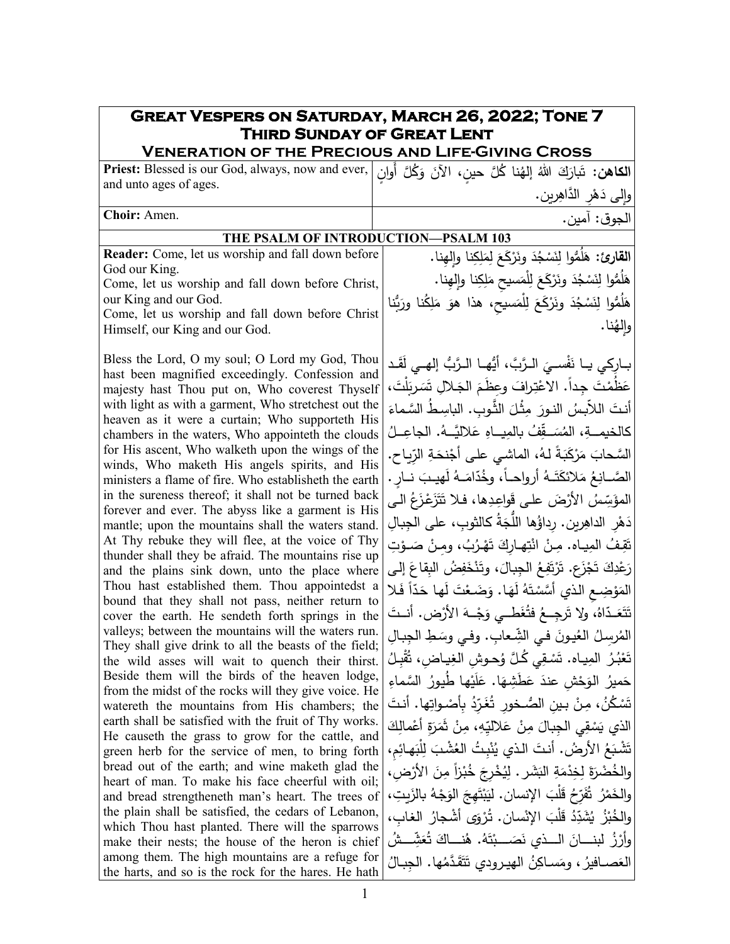## **Great Vespers on Saturday, March 26, 2022; Tone 7 Third Sunday of Great Lent**

## **Veneration of the Precious and Life-Giving Cross**

ا**لكاهن:** تَبارَكَ اللهُ إلهُنا كُلَّ حينٍ، الآنَ وَكُلَّ أُوانٍ وإِلى دَهْرِ الدَّاهِرين. <u>ٔ</u> **Priest:** Blessed is our God, always, now and ever, and unto ages of ages. الجوق: آمین. .Amen **:Choir**

## **THE PSALM OF INTRODUCTION—PSALM 103**

**Reader:** Come, let us worship and fall down before God our King. Come, let us worship and fall down before Christ,

our King and our God. Come, let us worship and fall down before Christ Himself, our King and our God.

Bless the Lord, O my soul; O Lord my God, Thou hast been magnified exceedingly. Confession and majesty hast Thou put on, Who coverest Thyself with light as with a garment, Who stretchest out the heaven as it were a curtain; Who supporteth His chambers in the waters, Who appointeth the clouds for His ascent, Who walketh upon the wings of the winds, Who maketh His angels spirits, and His ministers a flame of fire. Who establisheth the earth in the sureness thereof; it shall not be turned back forever and ever. The abyss like a garment is His mantle; upon the mountains shall the waters stand. At Thy rebuke they will flee, at the voice of Thy thunder shall they be afraid. The mountains rise up and the plains sink down, unto the place where Thou hast established them. Thou appointedst a bound that they shall not pass, neither return to cover the earth. He sendeth forth springs in the valleys; between the mountains will the waters run. They shall give drink to all the beasts of the field; the wild asses will wait to quench their thirst. Beside them will the birds of the heaven lodge, from the midst of the rocks will they give voice. He watereth the mountains from His chambers; the earth shall be satisfied with the fruit of Thy works. He causeth the grass to grow for the cattle, and green herb for the service of men, to bring forth bread out of the earth; and wine maketh glad the heart of man. To make his face cheerful with oil; and bread strengtheneth man's heart. The trees of the plain shall be satisfied, the cedars of Lebanon, which Thou hast planted. There will the sparrows make their nests; the house of the heron is chief among them. The high mountains are a refuge for the harts, and so is the rock for the hares. He hath

ا**لقارئ:** هَلُمُّوا لِنَسْجُدَ ونَرْكَعَ لِمَلِكِنا وإِلمِنا.<br>' هَلُمُّوا لِنَسْجُدَ ونَرْكَعَ لِلْمَسيحِ مَلِكِنا وإِلمِنا. </sub> هَلُمُّوا لِنَسْجُدَ ونَرْكَعَ لِلْمَسيحِ، هذا هوَ مَلِكُنا ورَبُّنا | وإلهُنا.

بــارِكي يــا نَفْســيَ الـرَّبَّ، أَيُّهـا الـرَّبُّ إلهــي لَقَـد|<br>يَــذُبِيَ سَبِّـ الله العَلَيْفَ العَلَيْفَ الله عَظُمْتَ جِداً. الاعْتِرافَ وعِظَمَ الجَلالِ تَسَرِبَلْتَ، |<br>. أنتَ اللاّبسُ النـورَ مِثْلَ الثَّـوبِ. الباسِـطُ السَّـماءَ<br>أنـتَ اللاّبسُ َ .ُ الج َ َّلال�ــــــه ِ ع ِ�ــــــاه ِ ُف �الم ّ َ ــــــق ُس ،ِ الم ُ كالخ�مــــــة ِ اعــــــل ِ�ـاح. ّ ِ الر َ ـة ْ نح ،ُ الماشـي علـى أج ـة لـه ً َ �َ ْك َر َ م َّ السـحاب الصَّــانِعُ مَلائكَتَــهُ أرواحــاً، وخُدّامَــهُ لَهيــبَ نــارٍ . |<br>الصَّــانِـعُ مَلائكَتَــهُ أرواحــاً، وخُدّامَــهُ لَهيــبَ نــارٍ . | المؤَسِّسُ الأرْضَ على قَواعِدِها، فلا تَتَزَعْزَعُ الـى| دَهْرِ الداهِرين. رِداؤُها اللَّجَةُ كالثوبِ، على الجِبالِ <u>ة</u> <u>ا</u><br>ا ْ ان ِـــن ِ�ـــاه. م ـــف الم ُ ِ َق ِت ت َ ـــو ْ ص ُ ِ ، ومـــن ُب ْ ـــر َه َ ت ِ ِ هـــارك ت ْ رَعْدِكَ تَجْزَعِ. تَرْتَفِعُ الْجِبالَ، وتَنْخَفِضُ الْبِقاعَ إلى | .<br>ا َـلا ً ف ّا َ ـد َهـا ح ْ َت ل َ َضـع َـا. و َه ُ ل َه ْ ـت ْ ِض ِ ـع َّ الـذي أسس َو الم تَتَعَدّاهُ، ولا تَرجِــعُ فتُغَطــي وَجْــهَ الأرْض. أنــتَ المُرسِلُ العُيونَ في الشِّعابِ. وفي وسَطِ الجِبالِ<br>محمد تَعْبُرُ المِيـاه. تَسْقِي كُـلَّ وُحـوشِ الغِيـاضِ، تُقْبِـلُ .<br>ا ْ حَميرُ الوَحْشِ عندَ عَطَشِهَا. عَلَيْها طُيورُ السَّماءِ<br>يَمِيدُ تَسْكُنُ، مِنْ بينِ الصُـخورِ تُغَرِّدُ بِأَصْـواتِها. أنتَ الذي يَسْقِي الجِبالَ مِنْ عَلاليِّهِ، مِنْ شَمَرَةِ أَعْمالِكَ<br>وفيات تَشْبَعُ الأرضُ. أنتَ الذي يُنْبِتُ العُشْبَ الِلْبَهائِمِ، | ْ والخُضْرَةَ لِخِدْمَةِ النَشَرِ . لِيُخْرِجَ خُبْزاً مِنَ الأَرْضِ، |<br>والخُضْرَةَ لِخِدْمَةِ النَشَرِ . لِيُخْرِجَ خُبْزاً مِنَ الأَرْضِ، | والخَمْرُ ۚ تُفَرِّحُ قَلْبَ الإِنسانِ. ليَبْتَهِجَ الْوَجْهُ بِالزَيِتِ، إِ ْ ُ ِ الغـاب، َى ْ أشـجار ْ و ُـر ْسـان. ت َ الإن َْلب ُ ق ِد ّ ُ َشد � ُ ْز ُب والخ وَأَرْزُ لبنـــــانَ الـــــذي نَصَــــبْتَهُ. هُنــــاكَ تُعَشِّـــشُ .<br>. العَصــافيرُ ، ومَســاكِنُ الـهيــرودي تَتَقَـدَّمُها. الـجِبـالُ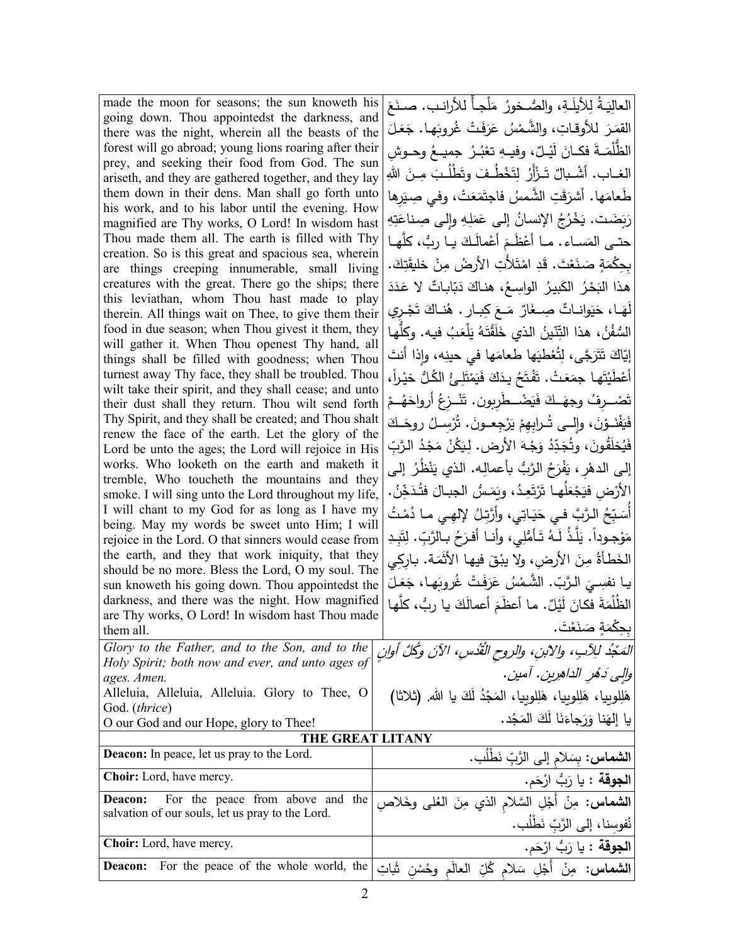| made the moon for seasons; the sun knoweth his                                                               | العالِيَـةُ لِلأَيلَـةِ، والصُّـخورُ مَلْجـأ للأرانـب. صـنَعَ              |
|--------------------------------------------------------------------------------------------------------------|----------------------------------------------------------------------------|
| going down. Thou appointedst the darkness, and<br>there was the night, wherein all the beasts of the         | القَّمَرَ للأَوقاتِ، والشَّمْسُ عَرَفَتْ غُروبَها. جَعَلَ                  |
| forest will go abroad; young lions roaring after their                                                       | الظُّلْمَــةَ فكــانَ لَيْــلٌ، وفيــهِ تعْبُـرُ جميــعُ وحــوش            |
| prey, and seeking their food from God. The sun<br>ariseth, and they are gathered together, and they lay      | الغــاب. أشْــبالٌ تَــزْأِرُ لِتَخْطَـفَ وتَطْلَـبَ مِــنَ اللهِ          |
| them down in their dens. Man shall go forth unto                                                             | طَعامَها. أشرَقَتِ الشَّمسُ فاجتَمَعَتْ، وفي صِيَرِها                      |
| his work, and to his labor until the evening. How                                                            | رَبَضَت. يَخْرُجُ الإِنسانُ إِلى عَمَلِهِ وإِلى صِناعَتِهِ                 |
| magnified are Thy works, O Lord! In wisdom hast<br>Thou made them all. The earth is filled with Thy          |                                                                            |
| creation. So is this great and spacious sea, wherein                                                         | حتـي المَسـاء. مـا أَعْظَـمَ أَعْمالَـكَ يـا ربُّ، كلَّهـا                 |
| are things creeping innumerable, small living                                                                | بحِكْمَةٍ صَنَعْتَ. قَدِ امْتَلأَتِ الأَرضُ مِنْ خليقَتِكَ.                |
| creatures with the great. There go the ships; there<br>this leviathan, whom Thou hast made to play           | هذا البَحْرُ الكَبِيرُ الواسِعُ، هنـاكَ دَبّابـاتٌ لا عَدَدَ               |
| therein. All things wait on Thee, to give them their                                                         | لَهَـا، حَيَوانــاتٌ صِــغَارٌ مَــعَ كِبــار . هُنــاكَ تَجْـري           |
| food in due season; when Thou givest it them, they<br>will gather it. When Thou openest Thy hand, all        | السُّفُنُ، هذا التِّنّينُ الذي خَلَقْتَهُ يَلْعَبُ فيه. وكلّها             |
| things shall be filled with goodness; when Thou                                                              | إِيّاكَ تَتَرَجَّى، لِتُعْطَيَها طعامَها في حينِه، وإذا أنتَ               |
| turnest away Thy face, they shall be troubled. Thou                                                          | أَعْطَيْتَها جِمَعَتْ. تَفْتَحُ يدَكَ فَيَمْتَلِئُ الكُلُّ خيْراً،         |
| wilt take their spirit, and they shall cease; and unto<br>their dust shall they return. Thou wilt send forth | تَصْــرفُ وجهَــكَ فَيَضْــطَربون. تَتْــزعُ أَرواحَهُــمْ                 |
| Thy Spirit, and they shall be created; and Thou shalt                                                        | فَيَفْذَوْنَ، وإلىي تُـرابِهِمْ يَرْجِعـونَ. تُرْسِــلُ روحَــكَ           |
| renew the face of the earth. Let the glory of the                                                            | فَيُخلِّقُونَ، وتُجَدِّدُ وَجْـهَ الأرض. لِيَكُنْ مَجْدُ الرَّبِّ          |
| Lord be unto the ages; the Lord will rejoice in His<br>works. Who looketh on the earth and maketh it         | إلىي الدهْرِ ، يَفْرَحُ الرَّبُّ بأعمالِه. الذي يَنْظُرُ إلىي              |
| tremble, Who toucheth the mountains and they                                                                 |                                                                            |
| smoke. I will sing unto the Lord throughout my life,<br>I will chant to my God for as long as I have my      | الأَرْضِ فيَجْعَلُهـا تَرْتَعِـدُ، ويَمَسُّ الجبـالَ فَتُدَخِّنُ.          |
| being. May my words be sweet unto Him; I will                                                                | أَسَبِّحُ الرَّبَّ في حَيَاتِي، وأَرَّتِلُ لِإلهِي ما دُمْتُ               |
| rejoice in the Lord. O that sinners would cease from                                                         | مَوْجوداً. يَلَّذَ لَـهُ تَـأَمُّلِي، وأنـا أفـرَحُ بـالرَّبِّ. لِتَبِـدِ  |
| the earth, and they that work iniquity, that they<br>should be no more. Bless the Lord, O my soul. The       | الخَطأةُ مِنَ الأرض، ولا يبْقَ فيها الأَثَمَة. باركي                       |
| sun knoweth his going down. Thou appointedst the                                                             | يـا نفسِيَ الـرَّبّ. الشَّمْسُ عَرَفَتْ غُروبَهـا، جَعَلَ                  |
| darkness, and there was the night. How magnified<br>are Thy works, O Lord! In wisdom hast Thou made          | الظُّلْمَةَ فكانَ لَيْلٌ. ما أعظَمَ أعمالَكَ يا ربُّ، كلَّها               |
| them all.                                                                                                    | بجكْمَةٍ صَنَعْتَ.                                                         |
| Glory to the Father, and to the Son, and to the                                                              | المَجْدُ للِآبِ، والآبنِ، والروحِ الْقُدْسِ، الآنَ وكُلَّ أُوانِ           |
| Holy Spirit; both now and ever, and unto ages of<br>ages. Amen.                                              | والى دَمُر الداهرِينِ. آمينِ.                                              |
| Alleluia, Alleluia, Alleluia. Glory to Thee, O                                                               | هَلِلوبيا، هَلِلوبيا، هَلِلوبيا، المَجْدُ لَكَ يا الله. (ثلاثا)            |
| God. ( <i>thrice</i> )                                                                                       | يا إلهَنا وَرَجاءَنَا لَكَ المَجْد.                                        |
| O our God and our Hope, glory to Thee!<br>THE GREAT LITANY                                                   |                                                                            |
| <b>Deacon:</b> In peace, let us pray to the Lord.                                                            | الشماس: بِسَلامِ إلى الرَّبِّ نَطْلُب.                                     |
| Choir: Lord, have mercy.                                                                                     | ا <b>لجوقة</b> : يا رَبُّ ارْحَم.                                          |
| For the peace from above and the<br>Deacon:                                                                  | <b>الشماس:</b> مِنْ أَجْلِ السَّلام الذي مِنَ العُل <sub>ِّي</sub> وخَلاصِ |
| salvation of our souls, let us pray to the Lord.                                                             | نُفوسِنا، إلى الرَّبِّ نَطْلُب.                                            |
| <b>Choir:</b> Lord, have mercy.                                                                              | ا <b>لجوقة</b> : يا رَبُّ ارْحَم.                                          |
| For the peace of the whole world, the<br>Deacon:                                                             | ا <b>لشماس:</b> مِنْ أَجْلِ سَلامٍ كُلِّ العالَمِ وِحُسْنِ شَاتِ           |
|                                                                                                              |                                                                            |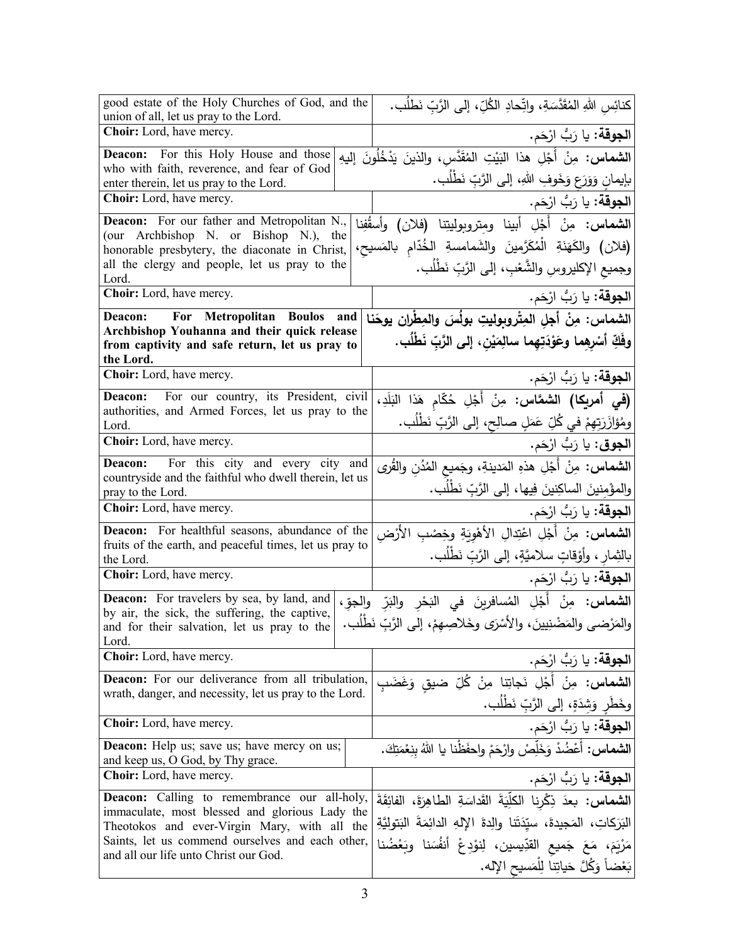| good estate of the Holy Churches of God, and the<br>union of all, let us pray to the Lord.                                                                                                                                   |     | كنائِسِ اللهِ المُقَدَّسَةِ، واتِّحادِ الكُلِّ، إلى الرَّبِّ نَطلُب.                                                                                                                          |
|------------------------------------------------------------------------------------------------------------------------------------------------------------------------------------------------------------------------------|-----|-----------------------------------------------------------------------------------------------------------------------------------------------------------------------------------------------|
| Choir: Lord, have mercy.                                                                                                                                                                                                     |     | ا <b>لجوقة:</b> يا رَبُّ ارْحَم.                                                                                                                                                              |
| Deacon: For this Holy House and those<br>who with faith, reverence, and fear of God<br>enter therein, let us pray to the Lord.<br><b>Choir:</b> Lord, have mercy.                                                            |     | <b>الشماس:</b> مِنْ أَجْلِ هذا البَيْتِ المُقَدَّسِ، والذينَ يَدْخُلُونَ إليهِ<br>بإيمانٍ وَوَرَعٍ وَخَوفِ اللهِ، إلى الرَّبِّ نَطْلُبٍ.                                                      |
|                                                                                                                                                                                                                              |     | ا <b>لجوقة:</b> يا رَبُّ ارْحَم.                                                                                                                                                              |
| Deacon: For our father and Metropolitan N.,<br>(our Archbishop N. or Bishop N.), the<br>honorable presbytery, the diaconate in Christ,<br>all the clergy and people, let us pray to the<br>Lord.<br>Choir: Lord, have mercy. |     | <b>الشماس:</b> مِنْ أَجْلِ أبينا ومِتروبوليتِنا (فلان) وأسقُفِنا<br>(فلان) والكَهَنَةِ الْمُكَرَّمينَ والشَمامسةِ الخُدّامِ بالمَسيحِ،<br>وجميعِ الإكليروسِ والشَّعْبِ، إلى الرَّبِّ نَطْلُب. |
|                                                                                                                                                                                                                              |     | ا <b>لجوقة:</b> يا رَبُّ ارْحَم.                                                                                                                                                              |
| For Metropolitan Boulos<br>Deacon:<br>Archbishop Youhanna and their quick release<br>from captivity and safe return, let us pray to<br>the Lord.                                                                             | and | الشماس: مِنْ أجلِ المِتْروبِوليتِ بولُسَ والمِطْرانِ يوحَنا<br>وفَكِّ أَسْرِهِما وعَوْدَتِهِما سالِمَيْنِ، إلى الرَّبِّ نَطْلُبٍ.                                                             |
| Choir: Lord, have mercy.                                                                                                                                                                                                     |     | ا <b>لجوقة:</b> يا رَبُّ ارْحَم.                                                                                                                                                              |
| For our country, its President, civil<br>Deacon:<br>authorities, and Armed Forces, let us pray to the<br>Lord.                                                                                                               |     | (في أمريكا) الشعَّاس: مِنْ أَجْلِ حُكّام هَذا البَلَدِ،<br>ومُؤازَرَتِهِمْ في كُلِّ عَمَلٍ صالِحٍ، إلى الرَّبِّ نَطْلُب.                                                                      |
| Choir: Lord, have mercy.                                                                                                                                                                                                     |     | ا <b>لجوق</b> : يا رَبُّ ارْحَم.                                                                                                                                                              |
| For this city and every city and<br>Deacon:<br>countryside and the faithful who dwell therein, let us<br>pray to the Lord.                                                                                                   |     | <b>الشماس:</b> مِنْ أَجْلِ هذهِ المَدينةِ، وجَميع المُدُنِ والقُرى<br>والمؤْمِنينَ الساكِنينَ فِيها، إلى الرَّبِّ نَطْلَب.                                                                    |
| Choir: Lord, have mercy.                                                                                                                                                                                                     |     | ا <b>لجوقة:</b> يا رَبُّ ارْحَم.                                                                                                                                                              |
| For healthful seasons, abundance of the<br>Deacon:<br>fruits of the earth, and peaceful times, let us pray to<br>the Lord.                                                                                                   |     | <b>الشماس:</b> مِنْ أَجْلِ اعْتِدالِ الأهْوِيَةِ وخِصْبِ الأَرْض<br>بالثِمار ، وأوْقاتٍ سلاميَّةٍ، إلى الرَّبِّ نَطْلُب.                                                                      |
| Choir: Lord, have mercy.                                                                                                                                                                                                     |     | ا <b>لجوقة:</b> يا رَبُّ ارْحَم.                                                                                                                                                              |
| <b>Deacon:</b> For travelers by sea, by land, and<br>by air, the sick, the suffering, the captive,<br>and for their salvation, let us pray to the<br>Lord.                                                                   |     | ا <b>لشماس:</b> مِنْ أَجْلِ المُسافرينَ في البَحْرِ والبَرِّ والجوِّ،<br>والمَرْضى والمَضْنِيينَ، والأَسْرَى وخَلاصِهِمْ، إلى الرَّبِّ نَطْلُب.                                               |
| Choir: Lord, have mercy.                                                                                                                                                                                                     |     | <b>الجوقة:</b> يا رَبُّ ارْحَم.                                                                                                                                                               |
| <b>Deacon:</b> For our deliverance from all tribulation,<br>wrath, danger, and necessity, let us pray to the Lord.                                                                                                           |     | <b>الشماس:</b> مِنْ أَجْلِ نَجاتِنا مِنْ كُلِّ ضيق وَغَضَبِ<br>وخَطَر وَشِدَةٍ، إلى الرَّبِّ نَطْلُب.                                                                                         |
| Choir: Lord, have mercy.                                                                                                                                                                                                     |     | <b>الجوقة:</b> يا رَبُّ ارْحَم.                                                                                                                                                               |
| <b>Deacon:</b> Help us; save us; have mercy on us;<br>and keep us, O God, by Thy grace.                                                                                                                                      |     | ا <b>لشماس:</b> أَعْضُدْ وَخَلِّصْ وارْحَمْ واحفَظْنا يا اللهُ بِنِعْمَتِكَ.                                                                                                                  |
| <b>Choir:</b> Lord, have mercy.                                                                                                                                                                                              |     | ا <b>لجوقة:</b> يا رَبُّ ارْحَم.<br>ا <b>لشماس:</b> بعدَ ذِكْرِنا الكلِّيَةَ القَداسَةِ الطاهِرَةَ، الفائِقَةَ                                                                                |
| <b>Deacon:</b> Calling to remembrance our all-holy,<br>immaculate, most blessed and glorious Lady the<br>Theotokos and ever-Virgin Mary, with all the<br>Saints, let us commend ourselves and each other,                    |     | البَرَكاتِ، المَجيدةَ، سيّدَتَنا والِدةَ الإِلهِ الدائِمَةَ البَتوليَّةِ                                                                                                                      |
| and all our life unto Christ our God.                                                                                                                                                                                        |     | مَرْيَمَ، مَعَ جَميع القدِّيسين، لِنوْدِعْ أَنفُسَنا وبَعْضُنا<br>بَعْضاً وَكُلَّ حَياتِنا لِلْمَسيحِ الإِله.                                                                                 |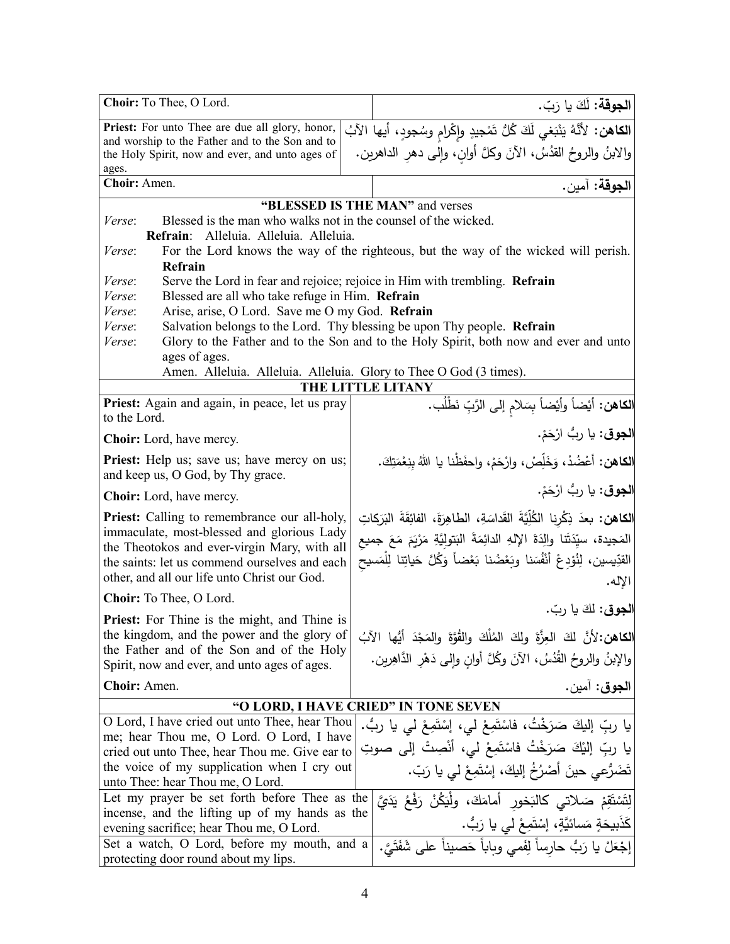| Choir: To Thee, O Lord.                                                                   | ا <b>لجوقة:</b> لَكَ يا رَبّ.                                                            |  |
|-------------------------------------------------------------------------------------------|------------------------------------------------------------------------------------------|--|
| Priest: For unto Thee are due all glory, honor,                                           | ا <b>لكاهن:</b> لأنَّهُ يَنْبَغي لَكَ كُلُّ تَمْجيدٍ وإِكْرامِ وسُجودٍ، أيها الآبُ       |  |
| and worship to the Father and to the Son and to                                           |                                                                                          |  |
| the Holy Spirit, now and ever, and unto ages of<br>ages.                                  | والابنُ والروحُ القُدُسُ، الأَنَ وكلَّ أُوانٍ، وإلى دهرِ الداهرين.                       |  |
| Choir: Amen.                                                                              | الجوقة: آمين.                                                                            |  |
|                                                                                           | "BLESSED IS THE MAN" and verses                                                          |  |
| Blessed is the man who walks not in the counsel of the wicked.<br>Verse:                  |                                                                                          |  |
| Refrain: Alleluia. Alleluia. Alleluia.                                                    |                                                                                          |  |
| Verse:                                                                                    | For the Lord knows the way of the righteous, but the way of the wicked will perish.      |  |
| Refrain                                                                                   |                                                                                          |  |
| Serve the Lord in fear and rejoice; rejoice in Him with trembling. Refrain<br>Verse:      |                                                                                          |  |
| Blessed are all who take refuge in Him. Refrain<br>Verse:                                 |                                                                                          |  |
| Arise, arise, O Lord. Save me O my God. Refrain<br>Verse:                                 |                                                                                          |  |
| Verse:                                                                                    | Salvation belongs to the Lord. Thy blessing be upon Thy people. Refrain                  |  |
| Verse:                                                                                    | Glory to the Father and to the Son and to the Holy Spirit, both now and ever and unto    |  |
| ages of ages.<br>Amen. Alleluia. Alleluia. Alleluia. Glory to Thee O God (3 times).       |                                                                                          |  |
|                                                                                           | THE LITTLE LITANY                                                                        |  |
| Priest: Again and again, in peace, let us pray                                            | ا <b>لكاهن:</b> أيْضاً وأيْضاً بِسَلامِ إلى الرَّبِّ نَطْلُب.                            |  |
| to the Lord.                                                                              |                                                                                          |  |
| <b>Choir:</b> Lord, have mercy.                                                           | ا <b>لجوق</b> : يا ربُّ ارْحَمْ.                                                         |  |
| <b>Priest:</b> Help us; save us; have mercy on us;                                        | ا <b>لكاهن:</b> أعْضُدْ، وَخَلِّصْ، وارْحَمْ، واحفَظْنا يا اللهُ بنِعْمَتِكَ.            |  |
| and keep us, O God, by Thy grace.                                                         |                                                                                          |  |
| <b>Choir:</b> Lord, have mercy.                                                           | ا <b>لجوق</b> : يا ربُّ ارْحَمْ.                                                         |  |
| <b>Priest:</b> Calling to remembrance our all-holy,                                       | ا <b>لكاهن:</b> بعدَ ذِكْرِنا الكُلِّيَّةَ القَداسَةِ، الطاهِرَةَ، الفائِقَةَ البَرَكاتِ |  |
| immaculate, most-blessed and glorious Lady                                                | المَجيدة، سيِّدَتَنا والِدَةَ الإِلهِ الدائِمَةَ البَتولِيَّةِ مَرْيَمَ مَعَ جميع        |  |
| the Theotokos and ever-virgin Mary, with all                                              |                                                                                          |  |
| the saints: let us commend ourselves and each                                             | القدِّيسين، لِنُؤدِعْ أَنْفُسَنا وبَعْضُنا بَعْضاً وَكُلَّ حَياتِنا لِلْمَسيح            |  |
| other, and all our life unto Christ our God.                                              | الإله.                                                                                   |  |
| Choir: To Thee, O Lord.                                                                   | ' <b>لجوق:</b> لكَ يا ربّ.                                                               |  |
| <b>Priest:</b> For Thine is the might, and Thine is                                       |                                                                                          |  |
| the kingdom, and the power and the glory of                                               | الكاهن:لأنَّ لكَ العِزَّةَ ولكَ المُلْكَ والقُوَّةَ والمَجْدَ أَيُّها الآبُ              |  |
| the Father and of the Son and of the Holy<br>Spirit, now and ever, and unto ages of ages. | والإِبنُ والروحُ القُدُسُ، الآنَ وكُلَّ أُوانٍ وإلى دَهْرِ الدَّاهِرِينِ.                |  |
| Choir: Amen.                                                                              | ا <b>لجوق</b> : آمين.                                                                    |  |
|                                                                                           | "O LORD, I HAVE CRIED" IN TONE SEVEN                                                     |  |
| O Lord, I have cried out unto Thee, hear Thou                                             |                                                                                          |  |
| me; hear Thou me, O Lord. O Lord, I have                                                  | يا ربِّ إليكَ صَرَخْتُ، فاسْتَمِعْ ليي، إسْتَمِعْ لي يا ربُّ.                            |  |
| cried out unto Thee, hear Thou me. Give ear to                                            | يا ربِّ إليْكَ صَرَخْتُ فاسْتَمِعْ لي، أَنْصِتْ إلى صوتِ                                 |  |
| the voice of my supplication when I cry out                                               | تَضَرُّعي حينَ أَصْرُخُ إليكَ، إسْتَمِعْ لي يا رَبّ.                                     |  |
| unto Thee: hear Thou me, O Lord.                                                          |                                                                                          |  |
| Let my prayer be set forth before Thee as the                                             | لِتَسْتَقِمْ صَلاتي كالبَخورِ أَمامَكَ، ولْيَكُنْ رَفْعُ يَدَيَّ                         |  |
| incense, and the lifting up of my hands as the                                            | كَذَبِيحَةٍ مَسائيَّةٍ، إِسْتَمِعْ لي يا رَبُّ.                                          |  |
| evening sacrifice; hear Thou me, O Lord.                                                  |                                                                                          |  |
| Set a watch, O Lord, before my mouth, and a                                               | إِجْعَلْ يا رَبُّ حارساً لِفَمي وباباً حَصيناً على شَفَتَيَّ.                            |  |
| protecting door round about my lips.                                                      |                                                                                          |  |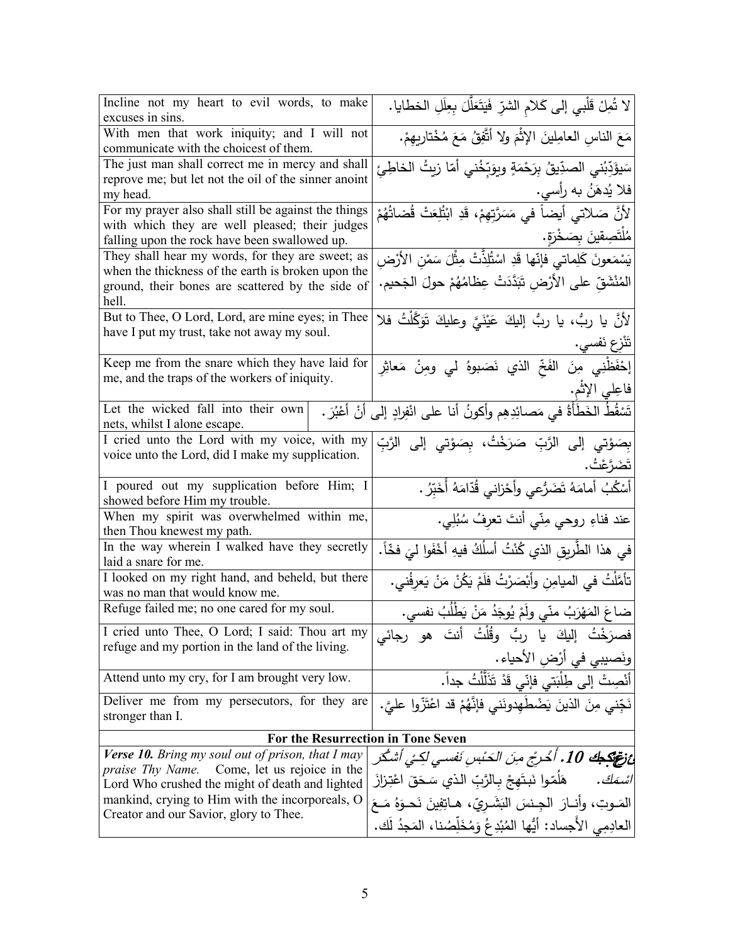| Incline not my heart to evil words, to make<br>excuses in sins.                                    | لا تُمِلْ قَلْبي إلى كَلامِ الشرِّ فَيَتَعَلَّلَ بِعِلَلِ الخطايا.        |
|----------------------------------------------------------------------------------------------------|---------------------------------------------------------------------------|
| With men that work iniquity; and I will not                                                        | مَعَ الناسِ العامِلِينَ الإِثْمَ ولا أَتَّفِقُ مَعَ مُخْتارِيهِمْ.        |
| communicate with the choicest of them.                                                             |                                                                           |
| The just man shall correct me in mercy and shall                                                   | سَيؤَدِّبُني الصدِّيقُ بِرَحْمَةٍ وبِوَبِّخُني أمّا زيتُ الخاطِئِ         |
| reprove me; but let not the oil of the sinner anoint                                               |                                                                           |
| my head.                                                                                           | فلا يُدهَنُ به رأسي.                                                      |
| For my prayer also shall still be against the things                                               | لأنَّ صَلاتي أيضاً في مَسَرَّتِهِمْ، قَدِ ابْتُلِعَتْ قُضاتُهُمْ          |
| with which they are well pleased; their judges                                                     | مُلْتَصِقينَ بِصَخْرَةٍ.                                                  |
| falling upon the rock have been swallowed up.                                                      |                                                                           |
| They shall hear my words, for they are sweet; as                                                   | يَسْمَعونَ كَلِماتي فإنّها قَدِ اسْتُلِذَّتْ مِثْلَ سَمْنِ الأَرْضِ       |
| when the thickness of the earth is broken upon the                                                 | المُنْشَقِّ على الأَرْضِ تَبَدَّدَتْ عِظامُهُمْ حولَ الجَحيم.             |
| ground, their bones are scattered by the side of<br>hell.                                          |                                                                           |
| But to Thee, O Lord, Lord, are mine eyes; in Thee                                                  |                                                                           |
| have I put my trust, take not away my soul.                                                        | لأَنَّ يا ربُّ، يا ربُّ إليكَ عَيْنَيَّ وعليكَ تَوَكَّلْتُ فلا            |
|                                                                                                    | تَنْزع نَفسي.                                                             |
| Keep me from the snare which they have laid for                                                    | إِحْفَظْنِي مِنَ الفَخِّ الذي نَصَبوهُ لي ومِنْ مَعاثِرِ                  |
| me, and the traps of the workers of iniquity.                                                      |                                                                           |
|                                                                                                    | فاعِلي الإثم.                                                             |
| Let the wicked fall into their own                                                                 |                                                                           |
| nets, whilst I alone escape.                                                                       |                                                                           |
| I cried unto the Lord with my voice, with my                                                       | بِصَوْتِي إِلَى الرَّبِّ صَرَخْتُ، بِصَوْتِي إِلَى الرَّبِّ               |
| voice unto the Lord, did I make my supplication.                                                   |                                                                           |
|                                                                                                    | نَضَرَّعْتُ.                                                              |
| I poured out my supplication before Him; I                                                         | أَسْكُبُ أَمامَهُ تَضَرُّعي وأَحْزاني قُدّامَهُ أُخَبِّرُ .               |
| showed before Him my trouble.<br>When my spirit was overwhelmed within me,                         |                                                                           |
| then Thou knewest my path.                                                                         | عند فناءِ روحي مِنّي أنتَ تعرِفُ سُبُلِي.                                 |
| In the way wherein I walked have they secretly                                                     | في هذا الطَّريقِ الذي كُنْتُ أسلُكُ فيهِ أخْفَوا ليَ فخّاً.               |
| laid a snare for me.<br>I looked on my right hand, and beheld, but there                           |                                                                           |
| was no man that would know me.                                                                     | تأمَّلْتُ في الميامِنِ وأَبْصَرْتُ فلَمْ يَكُنْ مَنْ يَعرِفُني.           |
| Refuge failed me; no one cared for my soul.                                                        | ضاعَ المَهْرَبُ منّي ولَمْ يُوجَدُ مَنْ يَطْلُبُ نفسي.                    |
| I cried unto Thee, O Lord; I said: Thou art my                                                     | فصرَخْتُ إليكَ يا ربُّ وقُلْتُ أنتَ هو رجائى                              |
| refuge and my portion in the land of the living.                                                   | ونَصيبي في أرْضِ الأحياء .                                                |
| Attend unto my cry, for I am brought very low.                                                     | أَنْصِتْ إِلَى طِلْبَتي فإنّي قَدْ تَذَلَّلْتُ جداً.                      |
|                                                                                                    |                                                                           |
| Deliver me from my persecutors, for they are<br>stronger than I.                                   | نَجِّني مِنَ الذينَ يَضْطَهِدونَنى فإنَّهُمْ قد اعْتَزُّوا عليَّ.         |
| For the Resurrection in Tone Seven                                                                 |                                                                           |
| Verse 10. Bring my soul out of prison, that I may                                                  | عْ نَصْحَكِكَ 10. أَخْرِجْ مِنَ الْحَنْسِ نَفْسَى لَكِنْي أَشْكُرَ        |
| praise Thy Name.<br>Come, let us rejoice in the                                                    | هَلَمّوا نَبِتَهِجْ بِالرَّبّ الذي سَحَقَ اعْتِزازَ                       |
| Lord Who crushed the might of death and lighted<br>mankind, crying to Him with the incorporeals, O | المَــوتِ، وأنــارَ  الجِــنسَ البَشَــريِّ، هــاتِفِينَ نَـحـوَهُ مَــعَ |
| Creator and our Savior, glory to Thee.                                                             |                                                                           |
|                                                                                                    | العادِمِي الأَجساد: أَيُّها المُبْدِعُ وَمُخَلِّصُنا، المَجِدُ لَك.       |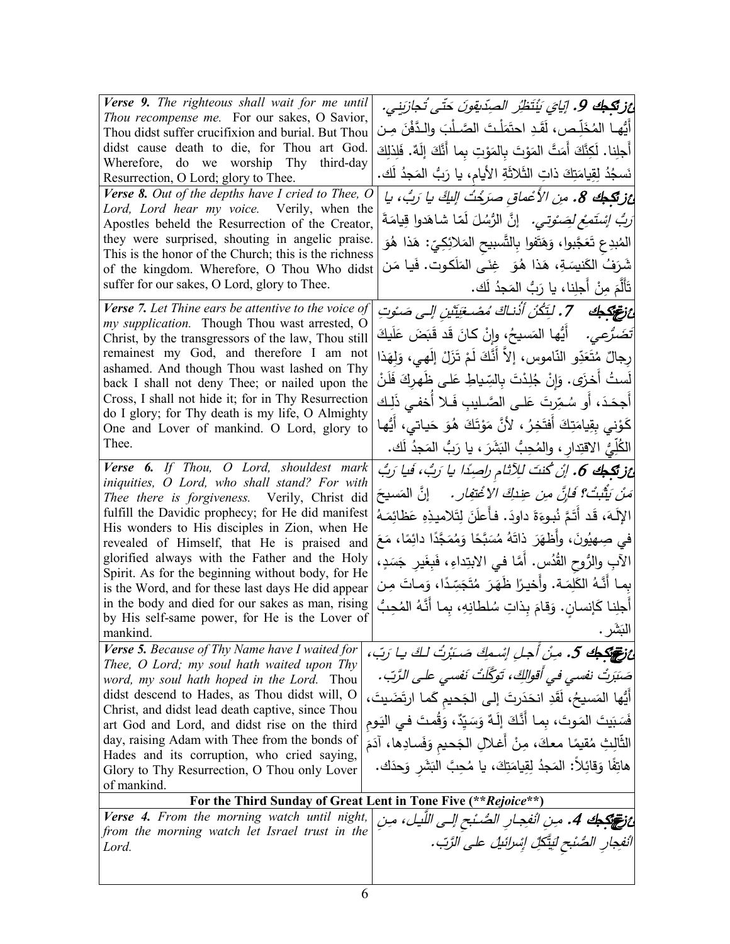| Verse 9. The righteous shall wait for me until<br>Thou recompense me. For our sakes, O Savior,<br>Thou didst suffer crucifixion and burial. But Thou<br>didst cause death to die, for Thou art God.<br>Wherefore, do we worship Thy third-day<br>Resurrection, O Lord; glory to Thee.<br>Verse 8. Out of the depths have I cried to Thee, O<br>Lord, Lord hear my voice. Verily, when the<br>Apostles beheld the Resurrection of the Creator,<br>they were surprised, shouting in angelic praise.<br>This is the honor of the Church; this is the richness<br>of the kingdom. Wherefore, O Thou Who didst<br>suffer for our sakes, O Lord, glory to Thee.                                                                                                                             | ئزلكجك 9. إِيَايَ يَنْتَظِرُ الصِدِّيقِونَ حَتَّى تُجازَينِي.<br>أَيُّهـا المُخَلِّص، لَقَدِ احتَمَلْتَ الصَّـلْبَ والدَّفْنَ مِـن<br>أَجلِنا. لَكِنَّكَ أَمَتَّ المَوْتَ بِالمَوْتِ بِما أَنَّكَ إِلَهٌ. فَلِذلِكَ<br>نَسجُدُ لِقِيامَتِكَ ذاتِ الثَّلاثَةِ الأيامِ، يا رَبُّ المَجِدُ لَك.<br>ئز تكبك 8. من الأعماق صرَخْتُ اللَّكَ يا رَبُّ، يا<br>رَبٌ <i>إِسْتَمِعْ لِصَنْوتِي.</i> إِنَّ الرُّسُلَ لَمَنَا شَاهَدُوا قِيَامَةَ<br>المُبدِعِ تَعَجَّبوا، وَهَتَفوا بِالتَّسبيحِ المَلائِكِيِّ: هَذا هُوَ<br>شَرَفُ الكَنسَةِ، هَذا هُوَ   غِنَى المَلَكوت. فَيا مَن<br>تَأَلَّمَ مِنْ أَجِلِنا، يا رَبُّ المَجِدُ لَك.                                                                                                                                                                               |
|---------------------------------------------------------------------------------------------------------------------------------------------------------------------------------------------------------------------------------------------------------------------------------------------------------------------------------------------------------------------------------------------------------------------------------------------------------------------------------------------------------------------------------------------------------------------------------------------------------------------------------------------------------------------------------------------------------------------------------------------------------------------------------------|-----------------------------------------------------------------------------------------------------------------------------------------------------------------------------------------------------------------------------------------------------------------------------------------------------------------------------------------------------------------------------------------------------------------------------------------------------------------------------------------------------------------------------------------------------------------------------------------------------------------------------------------------------------------------------------------------------------------------------------------------------------------------------------------------------------|
| <b>Verse</b> 7. Let Thine ears be attentive to the voice of<br>my supplication. Though Thou wast arrested, O<br>Christ, by the transgressors of the law, Thou still<br>remainest my God, and therefore I am not<br>ashamed. And though Thou wast lashed on Thy<br>back I shall not deny Thee; or nailed upon the<br>Cross, I shall not hide it; for in Thy Resurrection<br>do I glory; for Thy death is my life, O Almighty<br>One and Lover of mankind. O Lord, glory to<br>Thee.<br>Verse 6. If Thou, O Lord, shouldest mark<br>iniquities, O Lord, who shall stand? For with<br>Thee there is forgiveness. Verily, Christ did<br>fulfill the Davidic prophecy; for He did manifest<br>His wonders to His disciples in Zion, when He<br>revealed of Himself, that He is praised and | <b>ئ قِ تَجِيدُ = 7 .</b> لِتَكُنْ أَذَٰناكَ مُصْغِيَتَيْنِ إِلَى صَنُوتِ<br>تَ <i>ضَرُّعي.</i> أيُّها  المَسيحُ، وإنْ كانَ  قَد  قَبَضَ  عَلَيكَ<br>رجالٌ مُتَعَدِّو النَّاموسِ، إلاَّ أَنَّكَ لَمْ تَزَلْ إِلَهِي، وَلِهَذا<br>لَستُ أَخزَى. وَإِنْ جُلِدْتَ بِالسِّياطِ عَلـى ظَهرِكَ فَلَنْ<br>أجحَدَ، أو سُمِّرتَ عَلـى الصَّـليبِ فَـلا أخفـى ذَلِـك<br>كَوْنِي بِقِيامَتِكَ أَفْتَخِرُ ، لأَنَّ مَوْتَكَ هُوَ حَياتي، أَيُّها<br>الْكُلِّيُّ الاقتِدارِ ، والْمُحِبُّ النِّشَرَ ، يا رَبُّ الْمَجِدُ لَك.<br>ئز تكطف 6. إنْ كُنتَ للِآثام راصِدًا يا رَبُ، فَيا رَبُ<br>مَ <i>نْ يَثْبُتْ؟ فَإنَّ مِن عِندكَ الاغْقِفارِ</i> . ﴿ إِنَّ المَسيحَ<br>الإِلَـهَ، قَد أَتَمَّ نُبوءَةَ داودَ. فأَعلَنَ لِتَلاميذِهِ عَظائِمَـهُ<br>في صِهِيُونَ، وأَظهَرَ ذاتَهُ مُسَبَّحًا وَمُمَجَّدًا دائِمًا، مَعَ |
| glorified always with the Father and the Holy<br>Spirit. As for the beginning without body, for He<br>is the Word, and for these last days He did appear<br>in the body and died for our sakes as man, rising<br>by His self-same power, for He is the Lover of<br>mankind.                                                                                                                                                                                                                                                                                                                                                                                                                                                                                                           | الآبِ والرُّوحِ القُدُسِ. أمَّا في الابتِداءِ ، فَبِغَيرِ جَسَدٍ ،<br>بمـا أَنَّـهُ الكَلِمَـة. وأَخيرًا ظَهَرَ مُتَجَسِّدًا، وَمـاتَ مِن<br>أجلِنا كَإنسانٍ. وَقامَ بِذاتِ سُلطانِهِ، بِما أَنَّهُ المُحِبُّ<br>النَشْر .                                                                                                                                                                                                                                                                                                                                                                                                                                                                                                                                                                                |
| Verse 5. Because of Thy Name have I waited for<br>Thee, O Lord; my soul hath waited upon Thy<br>word, my soul hath hoped in the Lord. Thou<br>didst descend to Hades, as Thou didst will, O<br>Christ, and didst lead death captive, since Thou<br>art God and Lord, and didst rise on the third<br>day, raising Adam with Thee from the bonds of<br>Hades and its corruption, who cried saying,<br>Glory to Thy Resurrection, O Thou only Lover<br>of mankind.                                                                                                                                                                                                                                                                                                                       | ئ قَدَّمَ اللَّهُ عَلَى مِنْ أَجِلِ إِسْمِكَ صَنَرْتُ لَكَ يا رَبِّ،<br>صَنَزتُ نفسي في أقوالكَ، تَوَكَّلَتْ نَفسي علـى الرَّبّ.<br>أَيُّها المَسيحُ، لَقَدِ انحَدَرِتَ إلى الجَحيم كَما ارتَضَيتَ،<br>فَسَبَيتَ المَوتَ، بِما أَنَّكَ إِلَٰهٌ وَسَيِّدٌ، وَقُمتَ فـى اليَوم<br>الثَّالِثِ مُقيمًا معكَ، مِنْ أغلالِ الجَحيم وَفَسادِها، آدَمَ<br>هاتِفًا وَقائِلاً: المَجِدُ لِقِيامَتِكَ، يا مُحِبَّ البَشَرِ وَحِدَك.                                                                                                                                                                                                                                                                                                                                                                                  |
| For the Third Sunday of Great Lent in Tone Five (**Rejoice**)                                                                                                                                                                                                                                                                                                                                                                                                                                                                                                                                                                                                                                                                                                                         |                                                                                                                                                                                                                                                                                                                                                                                                                                                                                                                                                                                                                                                                                                                                                                                                           |
| Verse 4. From the morning watch until night,<br>from the morning watch let Israel trust in the<br>Lord.                                                                                                                                                                                                                                                                                                                                                                                                                                                                                                                                                                                                                                                                               | ل <b>انڪَجڪ 4.</b> مِنِ الفجارِ الصُنْح إلى اللَّيل، مِن<br>انْفِجارِ الصُّنْبِحِ لَيَتَّكَلِّ إِسْرائِيلُ على الرَّبِّ.                                                                                                                                                                                                                                                                                                                                                                                                                                                                                                                                                                                                                                                                                  |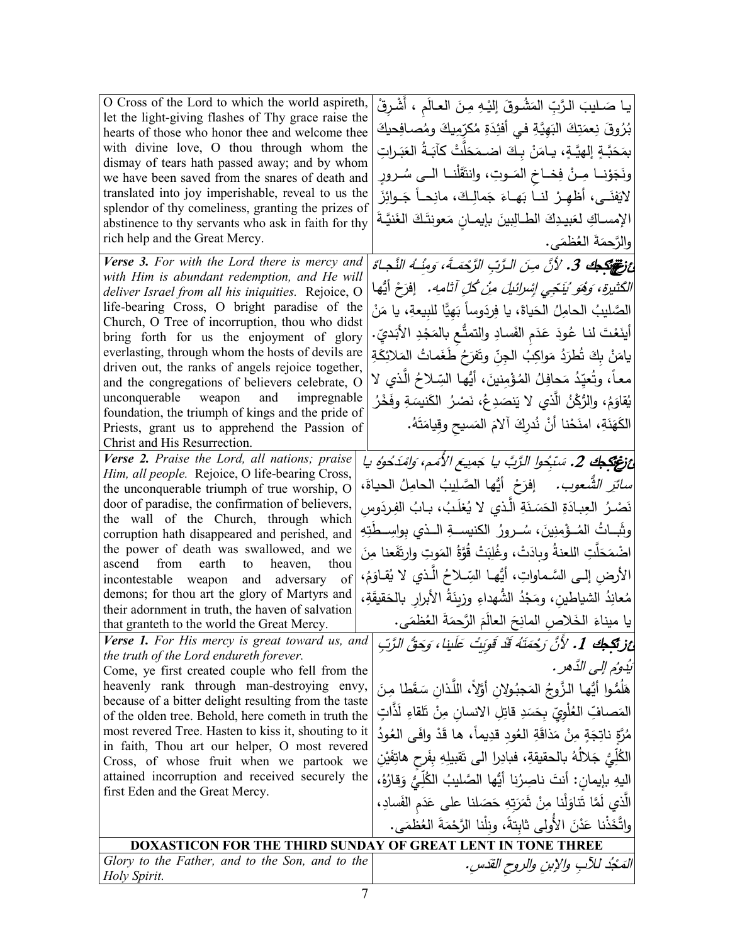| O Cross of the Lord to which the world aspireth,<br>let the light-giving flashes of Thy grace raise the<br>hearts of those who honor thee and welcome thee<br>with divine love, O thou through whom the<br>dismay of tears hath passed away; and by whom<br>we have been saved from the snares of death and<br>translated into joy imperishable, reveal to us the<br>splendor of thy comeliness, granting the prizes of<br>abstinence to thy servants who ask in faith for thy<br>rich help and the Great Mercy.<br><b>Verse 3.</b> For with the Lord there is mercy and<br>with Him is abundant redemption, and He will<br>deliver Israel from all his iniquities. Rejoice, O<br>life-bearing Cross, O bright paradise of the<br>Church, O Tree of incorruption, thou who didst<br>bring forth for us the enjoyment of glory<br>everlasting, through whom the hosts of devils are<br>driven out, the ranks of angels rejoice together,<br>and the congregations of believers celebrate, O<br>unconquerable weapon and impregnable<br>foundation, the triumph of kings and the pride of<br>Priests, grant us to apprehend the Passion of<br>Christ and His Resurrection.<br>Verse 2. Praise the Lord, all nations; praise<br>Him, all people. Rejoice, O life-bearing Cross,<br>the unconquerable triumph of true worship, O<br>door of paradise, the confirmation of believers, | يـا صَـليبَ الـرَّبِّ المَشُـوقَ إليْـهِ مِنَ العـالَمِ ، أشْـرقْ<br>بُرُوقَ نِعمَتِكَ الْبَهِيَّةِ في أَفئِدَةِ مُكرِّمِيكَ ومُصافِحيكَ<br>بمَحَبَّـةٍ إلهيَّـةٍ، يـامَنْ بِـكَ اضـمَحَلَّتْ كآبَـةُ العَبَـراتِ<br>ونَجَوْنــا مِــنْ فِخــاخ المَــوتِ، وانتَقَلْنــا الــى سُــرورِ<br>لايَفنَــي، أَظهِـرْ لَنــا بَهــاءَ جَمالِـكَ، مانِحــاً جَــوائِزَ<br>الإمساكِ لعَبيدِكَ الطـالِبينَ بإيمـانِ مَعونتَكَ الغَنيَّةَ<br>والرَّحمَةَ العُظمَى.<br>ئ قَامَ اللَّهُ عَلَى مِنَ الرَّبِّ الرَّحْمَـةَ، وَمِنْـهُ النَّجاةَ.<br>الكَثيرةِ، وَهُوَ يُنَجِّى إِسْرائِيلَ مِنْ كُلِّ آثامِهِ. ۖ إِفْرَحْ أَيُّها<br>الصَّليبُ الحامِلُ الحَياةَ، يا فِرِدَوساً بَهِيًّا للبِيعةِ، يا مَنْ<br>أينَعْتَ لنـا عُودَ عَدَم الفَسادِ والتمتُّع بالمَجْدِ الأَبَديِّ.<br>يامَنْ بِكَ تُطْرَدُ مَواكِبُ الْجِنّ وتَفرَحُ طَغَماتُ المَلائِكَةِ<br>معـاً، وتُعيّدُ مَحافِلُ المُؤْمنينَ، أَيُّهـا السِّلاحُ الّذي لا<br>يُقاوَمُ، والرُّكْنُ الَّذي لا يَنصَدِعُ، نَصْرُ الكَنيسَةِ وفَخْرُ<br>الكَهَنَةِ، امنَحْنا أَنْ نُدرِكَ آلامَ المَسيحِ وقِيامَتَهُ.<br>ع نظم بعد 2. سَبْحوا الرَّبَّ يا جَمِيعَ الأَمَمِ، وَامْدَحُوهُ يا<br><i>سائرَ الشُّعوب.</i> إفرَحْ  أيُّها الصَّلِيبُ الحامِلُ الحياةَ،<br>نَصْـرُ  العِبـادَةِ الحَسَـنَةِ الّـذي  لا يُغلَـبُ، بـابُ الفِردَوس |
|----------------------------------------------------------------------------------------------------------------------------------------------------------------------------------------------------------------------------------------------------------------------------------------------------------------------------------------------------------------------------------------------------------------------------------------------------------------------------------------------------------------------------------------------------------------------------------------------------------------------------------------------------------------------------------------------------------------------------------------------------------------------------------------------------------------------------------------------------------------------------------------------------------------------------------------------------------------------------------------------------------------------------------------------------------------------------------------------------------------------------------------------------------------------------------------------------------------------------------------------------------------------------------------------------------------------------------------------------------------------------------|------------------------------------------------------------------------------------------------------------------------------------------------------------------------------------------------------------------------------------------------------------------------------------------------------------------------------------------------------------------------------------------------------------------------------------------------------------------------------------------------------------------------------------------------------------------------------------------------------------------------------------------------------------------------------------------------------------------------------------------------------------------------------------------------------------------------------------------------------------------------------------------------------------------------------------------------------------------------------------------------------------------------------------------------------------------------------------------------------------------------------------------------------------------------------------------------------------------------------------------------------------------------------|
| the power of death was swallowed, and we<br>ascend from earth to heaven,<br>thou<br>incontestable weapon and adversary of                                                                                                                                                                                                                                                                                                                                                                                                                                                                                                                                                                                                                                                                                                                                                                                                                                                                                                                                                                                                                                                                                                                                                                                                                                                        | اضْمَحَلَّتِ اللعنةُ وبِادَتْ، وغُلِبَتْ قُوَّةُ المَوتِ وارتَفَعنا مِنَ<br>الأرض إلـى السَّماواتِ، أَيُّهـا السِّـلاحُ الَّـذي لا يُقـاوَمُ،                                                                                                                                                                                                                                                                                                                                                                                                                                                                                                                                                                                                                                                                                                                                                                                                                                                                                                                                                                                                                                                                                                                                |
| demons; for thou art the glory of Martyrs and<br>their adornment in truth, the haven of salvation<br>that granteth to the world the Great Mercy.                                                                                                                                                                                                                                                                                                                                                                                                                                                                                                                                                                                                                                                                                                                                                                                                                                                                                                                                                                                                                                                                                                                                                                                                                                 | مُعانِدُ الشياطين، ومَجْدُ الشَّهداءِ وزينَةُ الأبرار بالحَقيقَةِ،<br>يا ميناءَ الخَلاص المانِحَ العالَمَ الرَّحمَةَ العُظمَى.                                                                                                                                                                                                                                                                                                                                                                                                                                                                                                                                                                                                                                                                                                                                                                                                                                                                                                                                                                                                                                                                                                                                               |
| Verse 1. For His mercy is great toward us, and<br>the truth of the Lord endureth forever.<br>Come, ye first created couple who fell from the<br>heavenly rank through man-destroying envy,<br>because of a bitter delight resulting from the taste<br>of the olden tree. Behold, here cometh in truth the<br>most revered Tree. Hasten to kiss it, shouting to it<br>in faith, Thou art our helper, O most revered<br>Cross, of whose fruit when we partook we<br>attained incorruption and received securely the<br>first Eden and the Great Mercy.<br><b>DOXASTICON FOR THE THIRD SUNDAY OF GREAT LENT IN TONE THREE</b>                                                                                                                                                                                                                                                                                                                                                                                                                                                                                                                                                                                                                                                                                                                                                       | ئ لِگَطِكَ 1. لأَنَّ رَحْمَتَهُ قَدْ قَوِيَتْ عَلَينا، وَحَقَّ الرَّبِّ<br>يَدُوُم إِلَى الدَّهرِ .<br>هَلَمُّوا أَيُّها الزَّوجُ المَجبُولان أَوَّلاً، اللَّذان سَقَطا مِنَ<br>المَصـافِّ العُلْوِيِّ بحَسَدِ قاتِلِ الانسانِ مِنْ تَلقاءِ لَذَّاتٍ<br>مُرَّة ناتِجَةٍ مِنْ مَذاقَةِ العُودِ قدِيماً، ها قَدْ وافَى العُودُ<br>الْكُلِّيُّ جَلالُهُ بالحقيقةِ، فبادِرا الى تَقبيلِهِ بِفَرحٍ هاتِفَيْنِ<br>اليهِ بإيمان: أنتَ ناصِرُنا أيُّها الصَّليبُ الكُلِّيُّ وَقارُهُ،<br>الَّذي لَمَّا تَناوَلْنا مِنْ ثَمَرَتِهِ حَصَلنا على عَدَم الفَسادِ،<br>واتَّخَذْنا عَدْنَ الأُولى ثابتةً، ونِلْنا الرَّحْمَةَ العُظمَى.                                                                                                                                                                                                                                                                                                                                                                                                                                                                                                                                                                                                                                                    |
| Glory to the Father, and to the Son, and to the<br>Holy Spirit.                                                                                                                                                                                                                                                                                                                                                                                                                                                                                                                                                                                                                                                                                                                                                                                                                                                                                                                                                                                                                                                                                                                                                                                                                                                                                                                  | الْمَحْدُ للآبِ والإبنِ والروح القَدَسِ.                                                                                                                                                                                                                                                                                                                                                                                                                                                                                                                                                                                                                                                                                                                                                                                                                                                                                                                                                                                                                                                                                                                                                                                                                                     |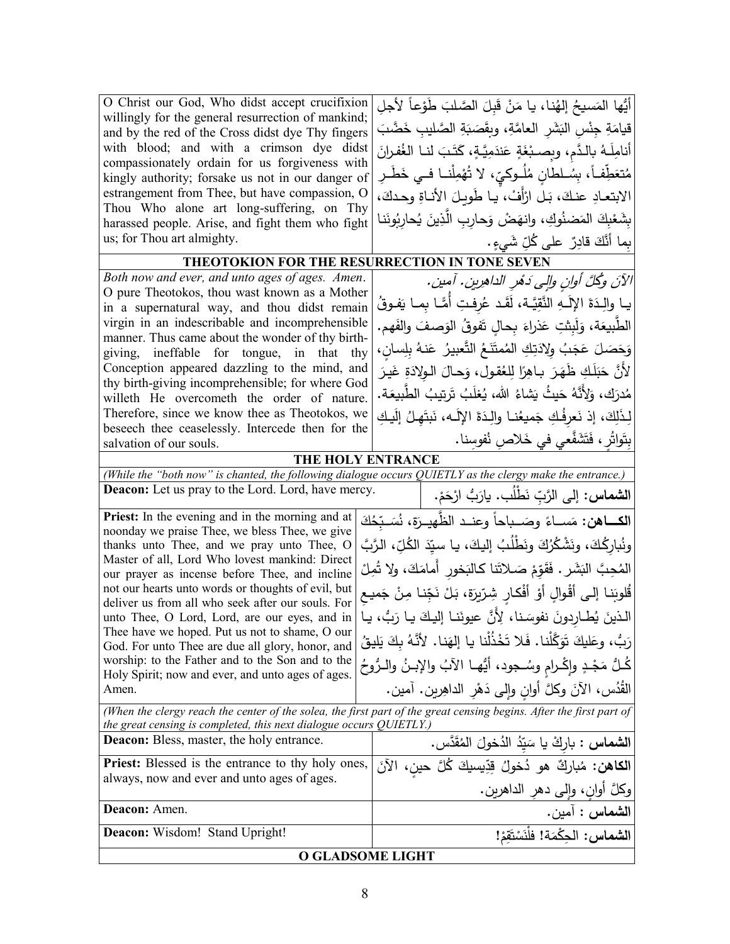| O Christ our God, Who didst accept crucifixion                                                                                                                         |  | أَيُّها المَسيحُ إلهُنا، يا مَنْ قَبلَ الصَّلبَ طَوْعاً لأجلِ                |
|------------------------------------------------------------------------------------------------------------------------------------------------------------------------|--|------------------------------------------------------------------------------|
| willingly for the general resurrection of mankind;                                                                                                                     |  |                                                                              |
| and by the red of the Cross didst dye Thy fingers                                                                                                                      |  | قيامَةِ جِنْسِ النِّشَرِ العامَّةِ، وبِقَصَبَةِ الصَّليبِ خَضَّبَ            |
| with blood; and with a crimson dye didst                                                                                                                               |  | أَنامِلَـهُ بالدَّم، وبِصـبْغَةٍ عَندَمِيَّةٍ، كَتَبَ لنـا الغُفرانَ         |
| compassionately ordain for us forgiveness with<br>kingly authority; forsake us not in our danger of                                                                    |  | مُتعَطِّفاً، بِسُـلطانٍ مُلُـوكيٍّ، لا تُهْمِلْنـا فـي خَطَـرِ               |
| estrangement from Thee, but have compassion, O                                                                                                                         |  | الابتعـادِ عنـكَ، بَـل ارْأَفْ، يـا طُويـلَ الأنـاةِ وحدكَ،                  |
| Thou Who alone art long-suffering, on Thy<br>harassed people. Arise, and fight them who fight                                                                          |  | بِشَعْبِكَ المَضنُوكِ، وانهَضْ وَحاربِ الَّذِينَ يُحارِبُونَنا               |
| us; for Thou art almighty.                                                                                                                                             |  | بِما أَنَّكَ قَادِرٌ ۖ عَلَى كُلِّ شَيْءٍ .                                  |
| THEOTOKION FOR THE RESURRECTION IN TONE SEVEN                                                                                                                          |  |                                                                              |
| Both now and ever, and unto ages of ages. Amen.                                                                                                                        |  | الآنَ وكُلَّ أُوانِ والٍى دَهْرِ الداهرِينِ. آمينِ.                          |
| O pure Theotokos, thou wast known as a Mother                                                                                                                          |  |                                                                              |
| in a supernatural way, and thou didst remain                                                                                                                           |  | يـا والِـدَةَ الإِلَــهِ النَّقِيَّــة، لَقَـد عُرفـتِ أَمَّـا بمــا يَفـوقُ |
| virgin in an indescribable and incomprehensible<br>manner. Thus came about the wonder of thy birth-                                                                    |  | الطَّبيعَة، وَلَبِثتِ عَذراءَ بحالِ تَفوقُ الوَصفَ والفَهم.                  |
| giving, ineffable for tongue, in that thy                                                                                                                              |  | وَحَصَلَ عَجَبُ وِلِادَتِكِ الْمُمتَنَعُ التَّعبيرُ عَنهُ بِلِسانِ،          |
| Conception appeared dazzling to the mind, and<br>thy birth-giving incomprehensible; for where God                                                                      |  | لأَنَّ حَبَلَكِ ظَهَرَ بِاهِرًا لِلْعُقولِ، وَحِالَ الْوِلادَةِ غَيْرَ       |
| willeth He overcometh the order of nature.                                                                                                                             |  | مُدرَك، وَلِأَنَّهُ حَيثُ يَشاءُ الله، يُغلَبُ تَرتيبُ الطّبيعَة.            |
| Therefore, since we know thee as Theotokos, we                                                                                                                         |  | لِـذَلِكَ، إذ نَعرفُكِ جَميعُنــا والِـدَةَ الإِلَــه، نَبتَهـلُ إِلَيـكِ    |
| beseech thee ceaselessly. Intercede then for the                                                                                                                       |  | بِتَواثُرٍ، فَتَشَفَّعي في خَلاصِ نُفوسِنا.                                  |
| salvation of our souls.                                                                                                                                                |  |                                                                              |
| THE HOLY ENTRANCE                                                                                                                                                      |  |                                                                              |
| (While the "both now" is chanted, the following dialogue occurs QUIETLY as the clergy make the entrance.)<br><b>Deacon:</b> Let us pray to the Lord. Lord, have mercy. |  |                                                                              |
|                                                                                                                                                                        |  | ا <b>لشماس:</b> إلى الرَّبِّ نَطْلَب. يارَبُّ ارْحَمْ.                       |
| Priest: In the evening and in the morning and at<br>noonday we praise Thee, we bless Thee, we give                                                                     |  | الكـــاهن: مَســاءً وصَـــباحاً وعنــد الظّهيــرَة، نُسَـبّحُكَ              |
| thanks unto Thee, and we pray unto Thee, O                                                                                                                             |  | ونُباركُكَ، ونَشْكُرُكَ ونَطْلُبُ إليكَ، يا سيّدَ الكُلِّ، الرّبَّ           |
| Master of all, Lord Who lovest mankind: Direct                                                                                                                         |  | المُحِبَّ البَشَرِ . فَقَوّمْ صَـلاتَنا كـالبَخور أمامَكَ، ولا تُمِلْ        |
| our prayer as incense before Thee, and incline<br>not our hearts unto words or thoughts of evil, but                                                                   |  |                                                                              |
| deliver us from all who seek after our souls. For                                                                                                                      |  | قُلوبَنـا إلـى أقْوالِ أَوْ أَفْكـار شِرّيرَة، بَـلْ نَجِّنـا مِنْ جَميـع    |
| unto Thee, O Lord, Lord, are our eyes, and in                                                                                                                          |  | الذينَ يُطـاردونَ نفوسَنا، لِأَنَّ عيونَنـا إليكَ يـا رَبُّ، يـا             |
| Thee have we hoped. Put us not to shame, O our<br>God. For unto Thee are due all glory, honor, and                                                                     |  | رَبُّ، وعَليكَ تَوَكَّلْنا. فَلا تَخْذُلْنا يا إلهَنا. لأنَّهُ بكَ يَليقُ    |
| worship: to the Father and to the Son and to the                                                                                                                       |  | كُـلُّ مَجْـدٍ وإكْـرام وسُــجود، أَيُّهــا الآبُ والإبــنُ والـرُّوحُ       |
| Holy Spirit; now and ever, and unto ages of ages.<br>Amen.                                                                                                             |  | الْقُدُسِ، الآنَ وكُلَّ أُوانٍ وإِلَى دَهْرِ الداهِرِينِ. آمينِ.             |
| (When the clergy reach the center of the solea, the first part of the great censing begins. After the first part of                                                    |  |                                                                              |
| the great censing is completed, this next dialogue occurs QUIETLY.)<br><b>Deacon:</b> Bless, master, the holy entrance.                                                |  | ا <b>لشماس :</b> باركْ يا سَيّدُ الدُخولَ المُقَدَّس.                        |
| <b>Priest:</b> Blessed is the entrance to thy holy ones,                                                                                                               |  | ا <b>لكاهن:</b> مُباركٌ هو دُخولُ قِدِّيسيكَ كُلَّ حين، الآنَ                |
| always, now and ever and unto ages of ages.                                                                                                                            |  | وكلَّ أُوانِ، وَإِلَى دَهْرِ الدَاهْرِينِ.                                   |
| Deacon: Amen.                                                                                                                                                          |  | الشماس : آمين.                                                               |
| Deacon: Wisdom! Stand Upright!                                                                                                                                         |  | الشماس: الْحِكْمَة! فَلْنَسْتَقِمْ!                                          |
|                                                                                                                                                                        |  |                                                                              |
| <b>O GLADSOME LIGHT</b>                                                                                                                                                |  |                                                                              |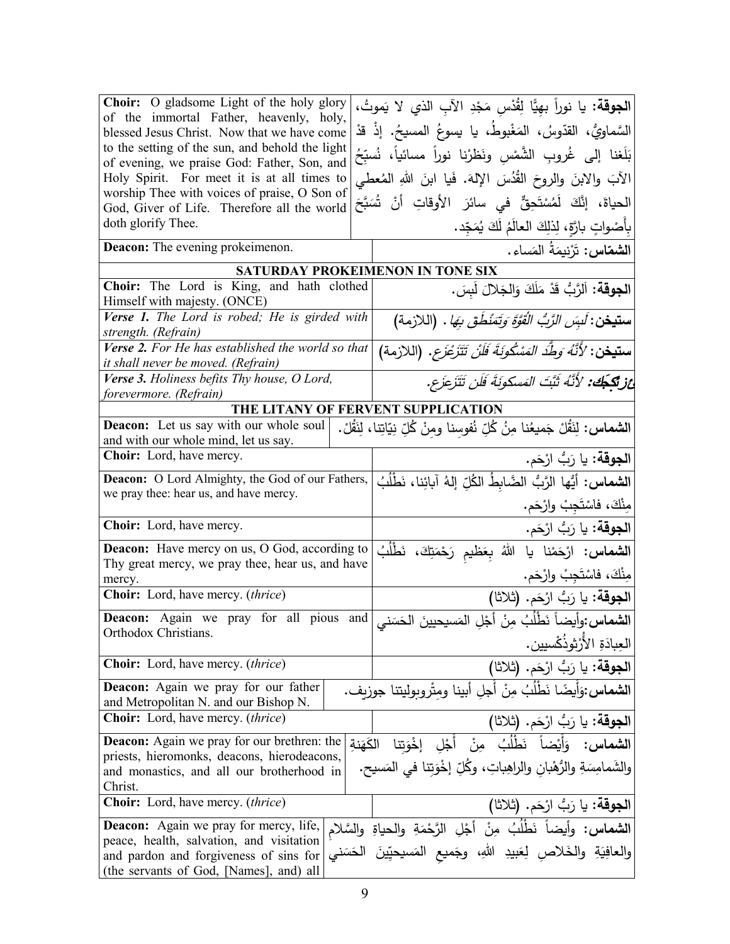| <b>Choir:</b> O gladsome Light of the holy glory                                               | ا <b>لجوقة:</b> يا نوراً بهيًّا لِقُدْس مَجْدِ الآبِ الذي لا يَموتُ،                 |
|------------------------------------------------------------------------------------------------|--------------------------------------------------------------------------------------|
| of the immortal Father, heavenly, holy,                                                        |                                                                                      |
| blessed Jesus Christ. Now that we have come                                                    | السَّماويُّ، القدّوسُ، المَغْبوطُ، يا يسوعُ المسيحُ. إذْ قدْ                         |
| to the setting of the sun, and behold the light<br>of evening, we praise God: Father, Son, and | بَلَغنا إلى غُروبِ الشَّمْسِ ونَظرْنا نوراً مسائياً، نُسبِّحُ                        |
| Holy Spirit. For meet it is at all times to                                                    | الآبَ والابنَ والروحَ القُدُسَ الإِلهَ. فَيا ابنَ اللهِ المُعطي                      |
| worship Thee with voices of praise, O Son of<br>God, Giver of Life. Therefore all the world    | الحياةَ، إنَّكَ لَمُسْتَحِقٌّ في سائرَ الأوقاتِ أنْ شُبَعَ                           |
| doth glorify Thee.                                                                             |                                                                                      |
| <b>Deacon:</b> The evening prokeimenon.                                                        | بِأَصْواتٍ بارَّةٍ، لِذلِكَ العالَمُ لَكَ يُمَجِّد.                                  |
|                                                                                                | ا <b>لشمّاس:</b> تَرْنِيمَةُ المَساء.                                                |
|                                                                                                | SATURDAY PROKEIMENON IN TONE SIX                                                     |
| Choir: The Lord is King, and hath clothed                                                      | الجوقة: اَلرَّبُّ قَدْ مَلَكَ وَالجَلالَ لَبِسَ.                                     |
| Himself with majesty. (ONCE)<br>Verse 1. The Lord is robed; He is girded with                  |                                                                                      |
| strength. (Refrain)                                                                            | <b>ستيخن:</b> لَسِ <i>ِّن الرَّبُّ الْقُوَّةَ وَتَمَنْطُقَ بِهَا</i> .  (اللازمة)    |
| Verse 2. For He has established the world so that                                              | ستيغن: <i>لأَنَّهُ وَطَّدَ المَسْكُونَةَ فَلَنْ تَتَزَعْزَع</i> . (اللازمة)          |
| <i>it shall never be moved. (Refrain)</i>                                                      |                                                                                      |
| Verse 3. Holiness befits Thy house, O Lord,                                                    | مِّ زِنْكَجُكَ: 'لِأَنَّهُ ثَبَّتَ المَسكونَةَ فَلَن تَتَزَعَزَع.                    |
| forevermore. (Refrain)                                                                         |                                                                                      |
|                                                                                                | THE LITANY OF FERVENT SUPPLICATION                                                   |
| Deacon: Let us say with our whole soul                                                         | ا <b>لشماس:</b> لِنَقُلْ جَميعُنا مِنُ كُلِّ نُفوسنا ومنْ كُلِّ نِيَاتِنا، لِنَقُلْ. |
| and with our whole mind, let us say.                                                           |                                                                                      |
| Choir: Lord, have mercy.                                                                       | ا <b>لجوقة:</b> يا رَبُّ ارْحَم.                                                     |
| Deacon: O Lord Almighty, the God of our Fathers,                                               | <b>الشماس:</b> أيُّها الزَّبُّ الضَّابطُ الكُلِّ إلهُ آبائِنا، نَطْلُبُ              |
| we pray thee: hear us, and have mercy.                                                         | مِنْكَ، فاسْتَجِبْ وارْحَم.                                                          |
| Choir: Lord, have mercy.                                                                       | ا <b>لجوقة:</b> يا رَبُّ ارْحَم.                                                     |
| <b>Deacon:</b> Have mercy on us, O God, according to                                           | ا <b>لشماس:</b> ارْحَمْنا يا اللهُ بِعَظيم رَحْمَتِكَ، نَطْلُبُ                      |
| Thy great mercy, we pray thee, hear us, and have                                               |                                                                                      |
| mercy.                                                                                         | مِنْكَ، فاسْتَجِبْ وارْحَم.                                                          |
| Choir: Lord, have mercy. (thrice)                                                              | ا <b>لجوقة:</b> يا رَبُّ ارْحَم. (ثلاثا)                                             |
| <b>Deacon:</b> Again we pray for all pious and                                                 | ا <b>لشماس :</b> وأيضاً نَطْلُبُ مِنْ أَجْلِ المَسيحيينَ الحَسَني                    |
| Orthodox Christians.                                                                           | العِبادَةِ الأَرْثوذَكْسيين.                                                         |
| <b>Choir:</b> Lord, have mercy. <i>(thrice)</i>                                                | ا <b>لجوقة:</b> يا رَبُّ ارْحَم. (ثلاثا)                                             |
| <b>Deacon:</b> Again we pray for our father                                                    | <b>الشماس:</b> وَأيضًا نَطْلَبُ مِنْ أجلِ أبينا ومثْروبوليتنا جوزيف.                 |
| and Metropolitan N. and our Bishop N.                                                          |                                                                                      |
| <b>Choir:</b> Lord, have mercy. <i>(thrice)</i>                                                | ا <b>لجوقة:</b> يا رَبُّ ارْحَم. (ثلاثا)                                             |
| <b>Deacon:</b> Again we pray for our brethren: the                                             | ا <b>لشماس:</b> وَأَيْضاً نَطْلُبُ مِنْ أَجْلِ إخْوَتِنا الكَهَنةِ                   |
| priests, hieromonks, deacons, hierodeacons,                                                    | والشَمامِسَةِ والرُّهْبانِ والراهِباتِ، وكُلِّ إخْوَتنا في المَسيحِ.                 |
| and monastics, and all our brotherhood in                                                      |                                                                                      |
| Christ.<br>Choir: Lord, have mercy. (thrice)                                                   |                                                                                      |
|                                                                                                | ا <b>لجوقة:</b> يا رَبُّ ارْحَم. (ثلاثا)                                             |
| <b>Deacon:</b> Again we pray for mercy, life,                                                  | <b>الشماس:</b> وأيضاً نَطْلُبُ مِنْ أَجْلِ الرَّحْمَةِ والحياةِ والسَّلام            |
| peace, health, salvation, and visitation<br>and pardon and forgiveness of sins for             | والعافِيَةِ والخَلاصِ لِعَبِيدِ اللهِ، وجَميعِ المَسيحيِّينَ الحَسَنيِ               |
| (the servants of God, [Names], and) all                                                        |                                                                                      |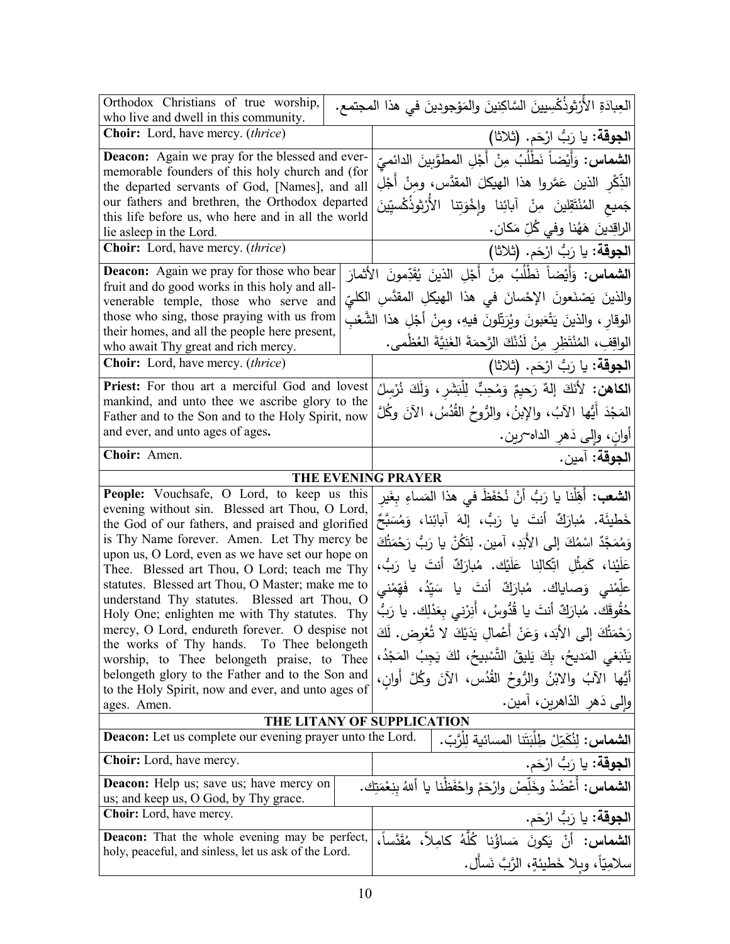| Orthodox Christians of true worship,<br>who live and dwell in this community.                                                 |  | العِبادَةِ الأَرْثوذَكْسِيينَ السَّاكِنينَ والمَوْجودينَ في هذا المجتمع.                                       |
|-------------------------------------------------------------------------------------------------------------------------------|--|----------------------------------------------------------------------------------------------------------------|
| Choir: Lord, have mercy. (thrice)                                                                                             |  | الجوقة: يا رَبُّ ارْحَم. (ثلاثا)                                                                               |
| <b>Deacon:</b> Again we pray for the blessed and ever-                                                                        |  | ا <b>لشماس:</b> وَأَيْضاً نَطْلُبُ مِنْ أَجْلِ المطوَّبِينَ الدائميِّ                                          |
| memorable founders of this holy church and (for                                                                               |  |                                                                                                                |
| the departed servants of God, [Names], and all                                                                                |  | الذِّكْرِ الذينِ عَمَّروا هذا الهيكلَ المقدَّس، ومنْ أَجْلِ                                                    |
| our fathers and brethren, the Orthodox departed                                                                               |  | جَميع المُنْتَقِلينَ مِنْ آبائِنا وإِخْوَتِنا الأَرْثوذُكُسيِّينَ                                              |
| this life before us, who here and in all the world<br>lie asleep in the Lord.                                                 |  | الراقِدينَ هَهُنا وفي كُلِّ مَكان.                                                                             |
| Choir: Lord, have mercy. (thrice)                                                                                             |  | ا <b>لجوقة:</b> يا رَبُّ ارْحَم. (ثلاثا)                                                                       |
| <b>Deacon:</b> Again we pray for those who bear                                                                               |  | ا <b>لشماس:</b> وَأَيْضاً نَطْلُبُ مِنْ أَجْلِ الذينَ يُقَدِّمونَ الأَثمارَ                                    |
| fruit and do good works in this holy and all-                                                                                 |  |                                                                                                                |
| venerable temple, those who serve and                                                                                         |  | والذينَ يَصْنَعونَ الإِحْسانَ في هذا الهيكلِ المقدَّسِ الكليِّ                                                 |
| those who sing, those praying with us from                                                                                    |  | الوقار ، والذينَ يَتْعَبونَ ويُرَتِّلونَ فيهِ، ومِنْ أَجْلِ هذا الشَّعْبِ                                      |
| their homes, and all the people here present,<br>who await Thy great and rich mercy.                                          |  | الواقِفِ، المُنْتَظِرِ مِنْ لَدُنْكَ الرَّحمَةَ الغَنِيَّةَ العُظمى.                                           |
| <b>Choir:</b> Lord, have mercy. <i>(thrice)</i>                                                                               |  | ا <b>لجوقة:</b> يا رَبُّ ارْحَم. (ثلاثا)                                                                       |
| <b>Priest:</b> For thou art a merciful God and lovest                                                                         |  | ا <b>لكاهن:</b> لأَنَكَ إِلهٌ رَحِيمٌ وَمُحِبٌّ لِلْبَشَرِ ، وَلَكَ نُرْسِلُ                                   |
| mankind, and unto thee we ascribe glory to the<br>Father and to the Son and to the Holy Spirit, now                           |  | المَجْدَ أَيُّها الآبُ، والإبنُ، والرُّوحُ القُدُسُ، الآنَ وكُلَّ                                              |
| and ever, and unto ages of ages.                                                                                              |  | أُوان، وإلى دَهر الداه~رين.                                                                                    |
| Choir: Amen.                                                                                                                  |  | ا <b>لجوقة:</b> آمين.                                                                                          |
| THE EVENING PRAYER                                                                                                            |  |                                                                                                                |
|                                                                                                                               |  |                                                                                                                |
| People: Vouchsafe, O Lord, to keep us this<br>evening without sin. Blessed art Thou, O Lord,                                  |  | ا <b>لشعب:</b> أَهِّلْنا يا رَبُّ أنْ نُحْفَظَ في هذا المَساءِ بِغَيرِ                                         |
| the God of our fathers, and praised and glorified                                                                             |  | خَطْيئَة. مُبارَكٌ أَنتَ يا رَبُّ، إِلهَ آبائِنا، وَمُسَبَّحٌ                                                  |
| is Thy Name forever. Amen. Let Thy mercy be                                                                                   |  | وَمُمَجَّدٌ اسْمُكَ إِلى الأَبَدِ، آمين. لِتَكُنْ يا رَبُّ رَحْمَتُكَ                                          |
| upon us, O Lord, even as we have set our hope on                                                                              |  | عَلَيْنا، كَمِثْلِ اتِّكالِنا عَلَيْك. مُبارَكٌ أنتَ يا رَبُّ،                                                 |
| Thee. Blessed art Thou, O Lord; teach me Thy                                                                                  |  |                                                                                                                |
| statutes. Blessed art Thou, O Master; make me to<br>understand Thy statutes. Blessed art Thou, O                              |  | علِّمْني وَصاياك. مُبارَكٌ أَنتَ يا سَيِّدُ، فَهِّمْني                                                         |
| Holy One; enlighten me with Thy statutes. Thy                                                                                 |  | حُقُوقَك. مُبارَكٌ أنتَ يا قُدُّوسُ، أُنِرْني بِعَدْلِك. يا رَبُّ                                              |
| mercy, O Lord, endureth forever. O despise not                                                                                |  | رَحْمَتُكَ إِلَى الأَبَد، وَعَنْ أَعْمالِ يَدَيْكَ لا تُعْرِض. لَكَ                                            |
| To Thee belongeth<br>the works of Thy hands.                                                                                  |  | يَنْبَغي المَديحُ، بِكَ يَلِيقُ النَّسْبِيحُ، لكَ يَجِبُ المَجْدُ،                                             |
| worship, to Thee belongeth praise, to Thee                                                                                    |  |                                                                                                                |
| belongeth glory to the Father and to the Son and<br>to the Holy Spirit, now and ever, and unto ages of                        |  | أَيُّها الآبُ والابْنُ والرُّوحُ القُدُسِ، الآنَ وكُلَّ أُوانِ،                                                |
| ages. Amen.                                                                                                                   |  | والى دَهر الدّاهرين، آمين.                                                                                     |
|                                                                                                                               |  | THE LITANY OF SUPPLICATION                                                                                     |
| <b>Deacon:</b> Let us complete our evening prayer unto the Lord.<br>ا <b>لشماس:</b> لنُكَمِّلْ طِلْبَتَنا المسائية للْرَّبِّ. |  |                                                                                                                |
| Choir: Lord, have mercy.                                                                                                      |  | ا <b>لجوقة:</b> يا رَبُّ ارْحَم.                                                                               |
| <b>Deacon:</b> Help us; save us; have mercy on                                                                                |  | <b>الشماس:</b> أَعْضُدْ وخَلِّصْ وارْحَمْ واحْفَظْنا يا أللهُ بِنِعْمَتِك.                                     |
| us; and keep us, O God, by Thy grace.                                                                                         |  |                                                                                                                |
| <b>Choir:</b> Lord, have mercy.                                                                                               |  | ا <b>لجوقة:</b> يا رَبُّ ارْحَم.                                                                               |
|                                                                                                                               |  |                                                                                                                |
| <b>Deacon:</b> That the whole evening may be perfect,                                                                         |  |                                                                                                                |
| holy, peaceful, and sinless, let us ask of the Lord.                                                                          |  | ا <b>لشماس:</b> أَنْ يَكونَ مَساؤُنا كُلَّهُ كامِلاً، مُقَدَّساً،<br>سلامِيّاً، وبلا خَطيئةٍ، الرَّبَّ نَسأَل. |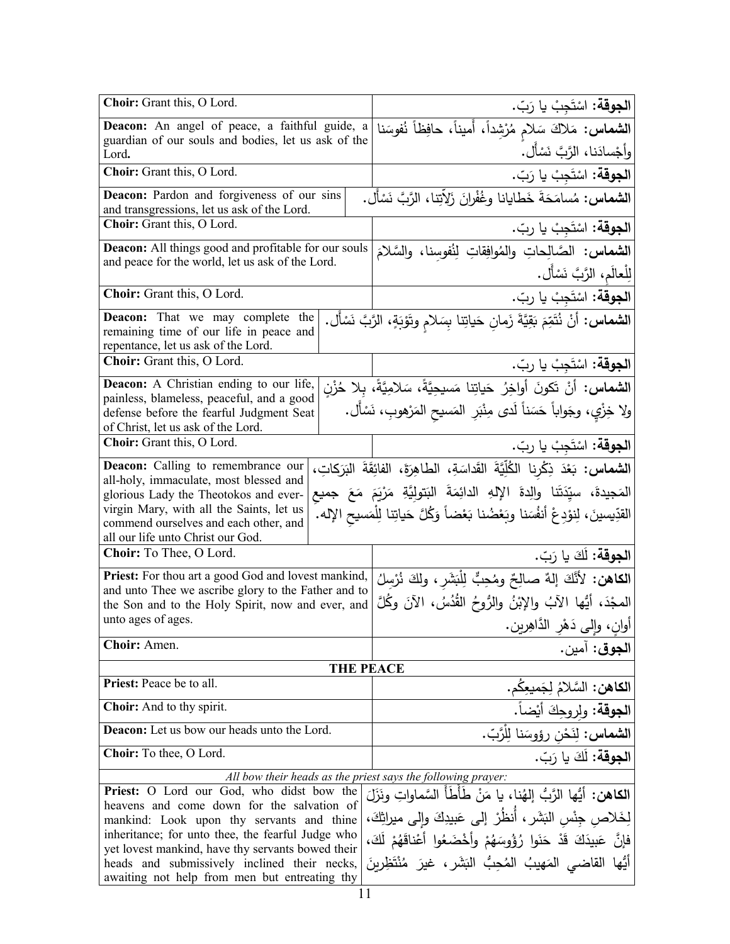| Choir: Grant this, O Lord.                                                                               | ا <b>لجوقة:</b> اسْتَجِبْ يا رَبّ.                                                             |  |
|----------------------------------------------------------------------------------------------------------|------------------------------------------------------------------------------------------------|--|
| Deacon: An angel of peace, a faithful guide, a                                                           | ا <b>لشماس:</b> مَلاكَ سَلامِ مُرْشِداً، أَميناً، حافِظاً نُفوسَنا                             |  |
| guardian of our souls and bodies, let us ask of the<br>Lord.                                             | وأجْسادَنا، الرَّبَّ نَسْأَل.                                                                  |  |
| Choir: Grant this, O Lord.                                                                               | ا <b>لجوقة:</b> اسْتَجِبْ يا رَبّ.                                                             |  |
| Deacon: Pardon and forgiveness of our sins<br>and transgressions, let us ask of the Lord.                | الشماس: مُسامَحَةَ خَطايانا وغُفْرانَ زَلاّتِنا، الرَّبَّ نَسْأَل.                             |  |
| Choir: Grant this, O Lord.                                                                               | ا <b>لجوقة:</b> اسْتَجِبْ يا ربّ.                                                              |  |
| <b>Deacon:</b> All things good and profitable for our souls                                              | الشماس: الصَّالِحاتِ والمُوافِقاتِ لِنُفوسنا، والسَّلامَ                                       |  |
| and peace for the world, let us ask of the Lord.                                                         | لِلْعالَم، الرَّبَّ نَسْأَل.                                                                   |  |
| <b>Choir:</b> Grant this, O Lord.                                                                        | ا <b>لجوقة:</b> اسْتَجِبْ يا ربّ.                                                              |  |
| Deacon: That we may complete the                                                                         | ا <b>لشماس:</b> أَنْ نُتَمِّمَ بَقِيَّةَ زَمانِ حَياتِنا بِسَلامٍ وتَوْبَةٍ، الرَّبَّ نَسْأَل. |  |
| remaining time of our life in peace and<br>repentance, let us ask of the Lord.                           |                                                                                                |  |
| Choir: Grant this, O Lord.                                                                               | ا <b>لجوقة:</b> اسْتَجِبْ يا ربّ.                                                              |  |
| <b>Deacon:</b> A Christian ending to our life,                                                           | ا <b>لشماس:</b> أنْ تَكونَ أواخِرُ حَياتِنا مَسيحِيَّةً، سَلامِيَّةً، بِلا خُزْنٍ              |  |
| painless, blameless, peaceful, and a good                                                                | ولا خِزْيٍ، وجَواباً حَسَناً لَدى مِنْبَرِ  المَسيح المَرْهوبِ، نَسْأَل.                       |  |
| defense before the fearful Judgment Seat<br>of Christ, let us ask of the Lord.                           |                                                                                                |  |
| Choir: Grant this, O Lord.                                                                               | ا <b>لجوقة:</b> اسْتَجِبْ يا ربّ.                                                              |  |
| <b>Deacon:</b> Calling to remembrance our                                                                | ا <b>لشماس:</b> بَعْدَ ذِكْرِنا الكُلِّيَّةَ القَداسَةِ، الطاهِرَةَ، الفائِقَةَ البَرَكاتِ،    |  |
| all-holy, immaculate, most blessed and<br>glorious Lady the Theotokos and ever-                          | المَجيدةَ، سيِّدَتَنا والِدةَ الإِلهِ الدائِمَةَ البَتولِيَّةِ مَرْيَمَ مَعَ جميعِ             |  |
| virgin Mary, with all the Saints, let us                                                                 | القدِّيسينَ، لِنوْدِعْ أَنفُسَنا وبَعْضُنا بَعْضاً وَكُلَّ حَياتِنا لِلْمَسيحِ الإله.          |  |
| commend ourselves and each other, and<br>all our life unto Christ our God.                               |                                                                                                |  |
| Choir: To Thee, O Lord.                                                                                  | ا <b>لجوقة:</b> لَكَ يا رَبّ.                                                                  |  |
| Priest: For thou art a good God and lovest mankind,                                                      | ا <b>لكاهن:</b> لأَنَّكَ إِلهٌ صالِحٌ ومُحِبٌّ لِلْبَشَرِ ، ولِكَ نُرْسِلُ                     |  |
| and unto Thee we ascribe glory to the Father and to<br>the Son and to the Holy Spirit, now and ever, and | الممجْدَ، أَيُّها الآبُ والإِبْنُ والرُّوحُ القُدُسُ، الآنَ وكُلَّ                             |  |
| unto ages of ages.                                                                                       | أُوانِ، وَإِلَى دَهْرِ الدَّاهِرِينِ.                                                          |  |
| Choir: Amen.                                                                                             | ا <b>لجوق:</b> آمين.                                                                           |  |
| <b>THE PEACE</b>                                                                                         |                                                                                                |  |
| Priest: Peace be to all.                                                                                 | ا <b>لكاهن:</b> السَّلامُ لِجَميعِكُم.                                                         |  |
| Choir: And to thy spirit.                                                                                | ا <b>لجوقة</b> : ولروحِكَ أيْضاً.                                                              |  |
| <b>Deacon:</b> Let us bow our heads unto the Lord.                                                       | ا <b>لشماس:</b> لِنَحْن رؤوسَنا لِلْرَّبّ.                                                     |  |
| Choir: To thee, O Lord.                                                                                  | ا <b>لجوقة:</b> لَكَ يا رَبّ.                                                                  |  |
| All bow their heads as the priest says the following prayer:                                             |                                                                                                |  |
| Priest: O Lord our God, who didst bow the<br>heavens and come down for the salvation of                  | ِ ا <b>لكاهن:</b> أَيُّها الرَّبُّ إلهُنا، يا مَنْ طَأَطَأَ السَّماواتِ ونَزَلَ                |  |
| mankind: Look upon thy servants and thine                                                                | لِخَلاصِ جِنْسِ البَشَرِ ، أَنظُرْ إلى عَبيدِكَ وإلى ميراثِكَ،                                 |  |
| inheritance; for unto thee, the fearful Judge who<br>yet lovest mankind, have thy servants bowed their   | فإِنَّ عَبِيدَكَ قَدْ حَنَوا رُؤُوسَهُمْ وأَخْضَعُوا أَعْناقَهُمْ لَكَ،                        |  |
| heads and submissively inclined their necks,                                                             | أَيُّها القاضي المَهيبُ المُحِبُّ البَشَرِ ، غيرَ مُنْتَظِرِينَ                                |  |
| awaiting not help from men but entreating thy                                                            |                                                                                                |  |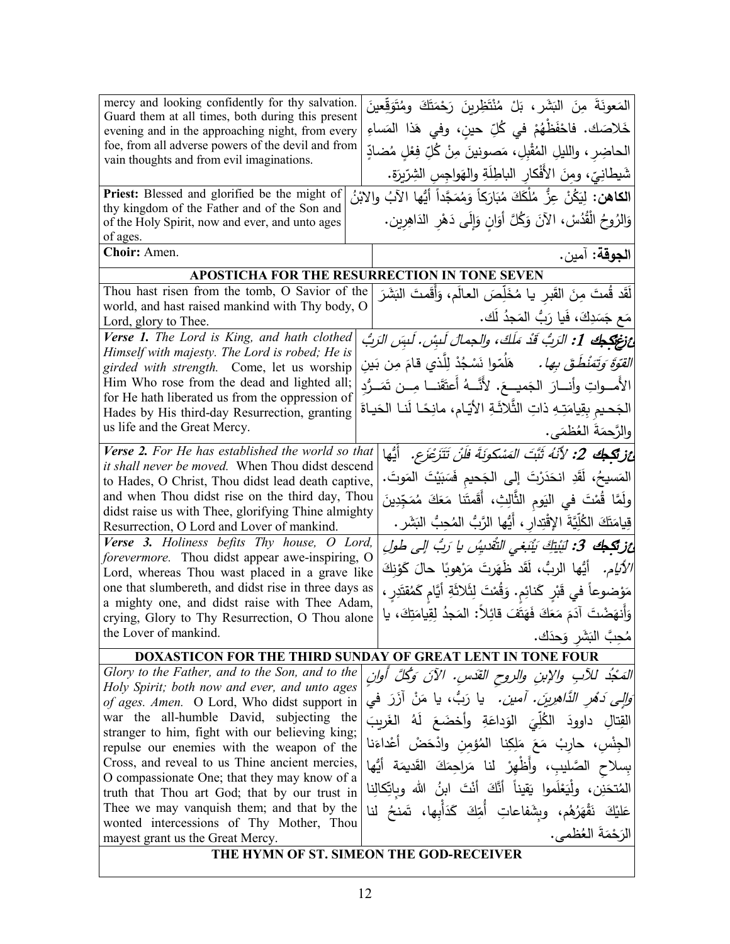| mercy and looking confidently for thy salvation.                                                                     | الْمَعُونَةَ مِنَ الْبَشَرِ ، بَلْ مُنْتَظِرِينَ رَحْمَتَكَ وِمُتَوَقِّعِينَ          |  |  |
|----------------------------------------------------------------------------------------------------------------------|---------------------------------------------------------------------------------------|--|--|
| Guard them at all times, both during this present<br>evening and in the approaching night, from every                | خَلاصَك. فاحْفَظْهُمْ في كُلِّ حين، وفي هَذا المَساءِ                                 |  |  |
| foe, from all adverse powers of the devil and from                                                                   | الحاضِر ، والليلِ المُقْبِلِ، مَصونينَ مِنْ كُلِّ فِعْلِ مُضادِّ                      |  |  |
| vain thoughts and from evil imaginations.                                                                            | شَيطانِيّ، ومنَ الأَفْكارِ الباطِلَةِ والهَواجِسِ الشِرِّيرَةِ.                       |  |  |
|                                                                                                                      |                                                                                       |  |  |
| Priest: Blessed and glorified be the might of<br>thy kingdom of the Father and of the Son and                        | <b>الكاهن:</b> لِيَكُنْ عِزُّ مُلْكَكَ مُبَارَكاً وَمُمَجَّداً أَيُّها الآبُ والابْنُ |  |  |
| of the Holy Spirit, now and ever, and unto ages                                                                      | وَالرُوحُ الْقُدُسْ، الآنَ وَكُلَّ أَوَانٍ وَإِلَى دَهْرِ الذَاهِرِينِ.               |  |  |
| of ages.                                                                                                             |                                                                                       |  |  |
| Choir: Amen.                                                                                                         | ا <b>لجوقة:</b> آمين.                                                                 |  |  |
|                                                                                                                      | APOSTICHA FOR THE RESURRECTION IN TONE SEVEN                                          |  |  |
| Thou hast risen from the tomb, O Savior of the                                                                       | لَقَد قُمتَ مِنَ القَبرِ يا مُخَلِّصَ العالَمِ، وَأَقَمتَ النِّشَرَ                   |  |  |
| world, and hast raised mankind with Thy body, O<br>Lord, glory to Thee.                                              | مَع جَسَدِكَ، فَيا رَبُّ المَجِدُ لَك.                                                |  |  |
| Verse 1. The Lord is King, and hath clothed                                                                          | عَ زَعْهُكُمْ 2 1 الرَبُّ قَدْ مَلَكَ، والجمالَ لَبِسْ. لَبِسَ الرَبُّ                |  |  |
| Himself with majesty. The Lord is robed; He is                                                                       |                                                                                       |  |  |
| girded with strength. Come, let us worship                                                                           | <i>القوّةَ وَتَمَنْطَقَ بها.</i> هَلَمّوا نَسْجُدْ لِلّذي قامَ مِن بَين               |  |  |
| Him Who rose from the dead and lighted all;<br>for He hath liberated us from the oppression of                       | الأمـــواتِ وأنـــارَ الجَميـــعَ. لأنَّـــهُ أعتَّقَنـــا مِـــن تَمَــرُّدٍ         |  |  |
| Hades by His third-day Resurrection, granting                                                                        | الجَحيم بِقِيامَتِهِ ذاتِ الثِّلاثَةِ الأَيّامِ، مانِحًا لَنـا الحَيـاةَ              |  |  |
| us life and the Great Mercy.                                                                                         | والرَّحمَةَ العُظمَى.                                                                 |  |  |
| <b>Verse 2.</b> For He has established the world so that                                                             | ئ لِتَكْمِكَ 2: لأَنْهُ ثَبَّتَ المَسْكُونَةَ فَلَنْ تَتَزَعْزَع.   أَيُّها           |  |  |
| it shall never be moved. When Thou didst descend                                                                     | المَسيحُ، لَقَدِ انحَدَرْتَ إلى الجَحيم فَسَبَيْتَ المَوتَ.                           |  |  |
| to Hades, O Christ, Thou didst lead death captive,<br>and when Thou didst rise on the third day, Thou                |                                                                                       |  |  |
| didst raise us with Thee, glorifying Thine almighty                                                                  | ولَمَّا قُمْتَ في اليَومِ الثَّالِثِ، أَقَمتَنا مَعَكَ مُمَجِّدِينَ                   |  |  |
| Resurrection, O Lord and Lover of mankind.                                                                           | قِيامَتَكَ الكُلِّيَّةَ الإقْتِدارِ ، أَيُّها الرَّبُّ المُحِبُّ البَشَرِ .           |  |  |
| Verse 3. Holiness befits Thy house, O Lord,                                                                          | ئز تكبك 3: لَبِيْتِكَ يَنْبَغِي التَّقْدِيِسُ يا رَبُّ إلى طُولِ                      |  |  |
| forevermore. Thou didst appear awe-inspiring, O<br>Lord, whereas Thou wast placed in a grave like                    | <i>الأَتام.</i> أَيُّها  الربُّ،  لَقَد  ظَهَرتَ  مَرْهويًا  حالَ  كَوْنكَ            |  |  |
| one that slumbereth, and didst rise in three days as                                                                 | مَوْضوعاً في قَبْرِ كَنائِم. وَقُمْتَ لِثَلاثَةِ أَيَّام كَمُقتَدِرٍ ،                |  |  |
| a mighty one, and didst raise with Thee Adam,<br>crying, Glory to Thy Resurrection, O Thou alone                     | وَأَنهَضْتَ آدَمَ مَعَكَ فَهَتَفَ قَائِلاً: المَجِدُ لِقِيامَتِكَ، يا                 |  |  |
| the Lover of mankind.                                                                                                | مُحِبٌ الْبَشَرِ ۖ وَحدَكَ.                                                           |  |  |
|                                                                                                                      |                                                                                       |  |  |
| <b>DOXASTICON FOR THE THIRD SUNDAY OF GREAT LENT IN TONE FOUR</b><br>Glory to the Father, and to the Son, and to the |                                                                                       |  |  |
| Holy Spirit; both now and ever, and unto ages                                                                        | الْمَجْدُ لْلَابِ وْلِإِبْنِ وْلْرُوحِ الْقَدْسِ. الْأَنَ وَكُلَّ أُولْنِ             |  |  |
| of ages. Amen. O Lord, Who didst support in                                                                          | <i>والی دَهُر الدَّاهِرِينَ. آمين.</i> یا رَبُّ، یا مَنْ آزَرَ فی                     |  |  |
| war the all-humble David, subjecting the                                                                             | داوودَ الْكُلِّيَ الْوَداعَةِ وأَخْضَعَ لَهُ                                          |  |  |
| stranger to him, fight with our believing king;<br>repulse our enemies with the weapon of the                        | الْجِنْس، حاربْ مَعَ مَلِكِنا الْمُؤمِن وادْحَضْ أَعْداءَنا                           |  |  |
| Cross, and reveal to us Thine ancient mercies,                                                                       | الصَّليب، وأظَّهرْ لَنا مَراحِمَكَ                                                    |  |  |
| O compassionate One; that they may know of a                                                                         |                                                                                       |  |  |
| truth that Thou art God; that by our trust in                                                                        | يَقِيناً أَنَّكَ أَنْتَ ابنُ الله وباتِّكالِنا<br>فخلموا                              |  |  |
| Thee we may vanquish them; and that by the                                                                           | نَقْهَرُهُم، وبشَفاعاتِ أُمِّكَ كَذَأَبِها، تَمنحُ لَنا                               |  |  |
| wonted intercessions of Thy Mother, Thou<br>mayest grant us the Great Mercy.                                         | الرَحْمَةَ العُظمى.                                                                   |  |  |
|                                                                                                                      | THE HYMN OF ST. SIMEON THE GOD-RECEIVER                                               |  |  |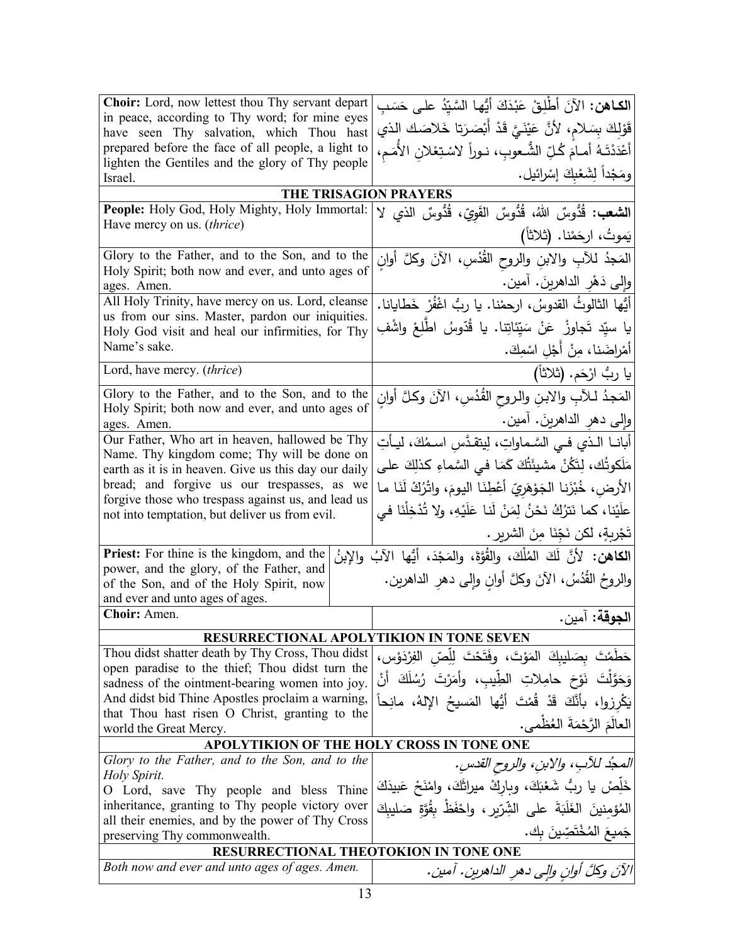| Choir: Lord, now lettest thou Thy servant depart                                                      | ا <b>لكـاهن:</b> الآنَ أطْلِقْ عَبْدَكَ أيُّها السَّيِّدُ علـى حَسَب               |  |
|-------------------------------------------------------------------------------------------------------|------------------------------------------------------------------------------------|--|
| in peace, according to Thy word; for mine eyes                                                        | قَوْلِكَ بِسَلامٍ، لأَنَّ عَيْنَيَّ قَدْ أَبْصَرَتا خَلاصَكَ الذي                  |  |
| have seen Thy salvation, which Thou hast<br>prepared before the face of all people, a light to        |                                                                                    |  |
| lighten the Gentiles and the glory of Thy people                                                      | أَعْدَدْتَهُ أَمامَ كُلِّ الشُّعوبِ، نـوراً لاسْتِعْلانِ الأَمَم،                  |  |
| Israel.                                                                                               | ومَجْداً لِشَعْبِكَ إِسْرائيل.                                                     |  |
| THE TRISAGION PRAYERS                                                                                 |                                                                                    |  |
| People: Holy God, Holy Mighty, Holy Immortal:                                                         | ا <b>لشعب:</b> قُدُّوسٌ اللهُ، قُدُّوسٌ القَويِّ، قُدُّوسٌ الذي لا                 |  |
| Have mercy on us. (thrice)                                                                            | يَموتُ، ارحَمْنا. (ثلاثاً)                                                         |  |
| Glory to the Father, and to the Son, and to the                                                       | المَجدُ للآبِ والابنِ والروح القُدُسِ، الآنَ وكلَّ أولَنِ                          |  |
| Holy Spirit; both now and ever, and unto ages of                                                      |                                                                                    |  |
| ages. Amen.                                                                                           | وَإِلَى دَهْرِ الداهرينَ. أمين.                                                    |  |
| All Holy Trinity, have mercy on us. Lord, cleanse<br>us from our sins. Master, pardon our iniquities. | أيُّها الثالوثُ القدوسُ، ارحمْنا. يا ربُّ اغْفُرْ خَطايانا.                        |  |
| Holy God visit and heal our infirmities, for Thy                                                      | يا سيّد تَجاوزْ  عَنْ  سَيّئاتِنا.  يا  قُدّوسُ  اطّلِعْ  واشْفِ                   |  |
| Name's sake.                                                                                          | أَمْراضَنا، مِنْ أَجْلِ اسْمِكَ.                                                   |  |
| Lord, have mercy. (thrice)                                                                            | يا ربُّ ارْحَم. (ثلاثاً)                                                           |  |
| Glory to the Father, and to the Son, and to the                                                       | المَجدُ للأَبِ والابنِ والروحِ القُدُسِ، الآنَ وكلَّ أَوان                         |  |
| Holy Spirit; both now and ever, and unto ages of<br>ages. Amen.                                       | وإلى دهر الداهرينَ. أمين.                                                          |  |
| Our Father, Who art in heaven, hallowed be Thy                                                        | أبانــا الـذي فــى السَّـماواتِ، لِيتقـدَّس اسـمُكَ، ليـأتِ                        |  |
| Name. Thy kingdom come; Thy will be done on                                                           |                                                                                    |  |
| earth as it is in heaven. Give us this day our daily                                                  | مَلَكوتُك، لِتَكُنْ مشيئَتُكَ كَمَا في السَّماءِ كذلِكَ على                        |  |
| bread; and forgive us our trespasses, as we                                                           | الأرض، خُبْزَنا الجَوْهَرِيّ أَعْطِنَا اليومَ، واتْرُكْ لَنَا ما                   |  |
| forgive those who trespass against us, and lead us<br>not into temptation, but deliver us from evil.  | علَيْنا، كما نَترُكُ نَحْنُ لِمَنْ لَنا عَلَيْهِ، ولا تُذْخِلْنَا في               |  |
|                                                                                                       | تَجْرِبِةٍ، لَكن نَجِّنَا مِنَ الشريرِ .                                           |  |
| Priest: For thine is the kingdom, and the                                                             | ا <b>لكاهن:</b> لأَنَّ لَكَ المُلْكَ، والقُوَّةَ، والمَجْدَ، أَيُّها الآبُ والإبنُ |  |
| power, and the glory, of the Father, and                                                              |                                                                                    |  |
| of the Son, and of the Holy Spirit, now                                                               | والروحُ القُدُسُ، الآنَ وكلَّ أوانِ وإلى دهرِ الداهرينِ.                           |  |
| and ever and unto ages of ages.<br>Choir: Amen.                                                       |                                                                                    |  |
|                                                                                                       | ا <b>لجوقة:</b> آمين.                                                              |  |
| <b>RESURRECTIONAL APOLYTIKION IN TONE SEVEN</b>                                                       |                                                                                    |  |
| Thou didst shatter death by Thy Cross, Thou didst                                                     | حَطْمْتَ بِصَليبِكَ الْمَوْتَ، وفَتَحْتَ لِلِّصِّ الفِرْدَوْسِ،                    |  |
| open paradise to the thief; Thou didst turn the<br>sadness of the ointment-bearing women into joy.    | وَحَوَّلْتَ نَوْحَ حامِلاتِ الطِّيبِ، وأَمَرْتَ رُسُلَكَ أَنْ                      |  |
| And didst bid Thine Apostles proclaim a warning,                                                      | يَكْرِزوا، بأَنَّكَ قَدْ قُمْتَ أَيُّها المَسيخُ الإِلْهُ، مانِحاً                 |  |
| that Thou hast risen O Christ, granting to the                                                        |                                                                                    |  |
| world the Great Mercy.                                                                                | العالَمَ الرَّحْمَةَ العُظْمي.                                                     |  |
| APOLYTIKION OF THE HOLY CROSS IN TONE ONE                                                             |                                                                                    |  |
| Glory to the Father, and to the Son, and to the                                                       | المحدُ للأبِ، والإبنِ، والروح القدسِ.                                              |  |
| Holy Spirit.<br>O Lord, save Thy people and bless Thine                                               | خَلِصْ يا ربُّ شَعْبَكَ، وباركْ ميراثَكَ، وامْنَحْ عَبِيدَكَ                       |  |
| inheritance, granting to Thy people victory over                                                      | المُؤمِنينَ الغَلَبَةَ على الشِّرّيرِ ، واحْفَظْ بِقُوَّةٍ صَليبِكَ                |  |
| all their enemies, and by the power of Thy Cross                                                      |                                                                                    |  |
| preserving Thy commonwealth.                                                                          | جَميعَ المُخْتَصِّينَ بِك.                                                         |  |
| RESURRECTIONAL THEOTOKION IN TONE ONE                                                                 |                                                                                    |  |
| Both now and ever and unto ages of ages. Amen.                                                        | الآنَ وكلَّ أوان والِي دهر الداهرينِ. أمين.                                        |  |